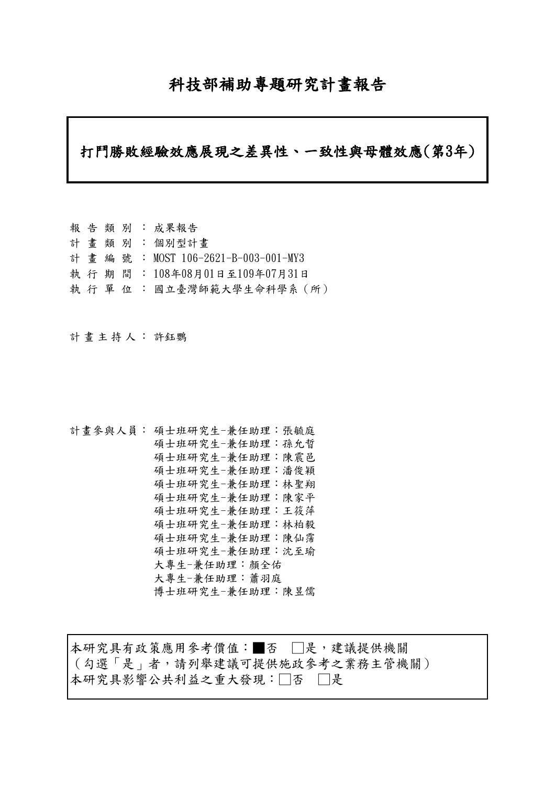# 科技部補助專題研究計畫報告

## 打鬥勝敗經驗效應展現之差異性、一致性與母體效應(第3年)

|  |  | 報 告 類 別 : 成果報告                    |
|--|--|-----------------------------------|
|  |  | 計 畫 類 別 : 個別型計畫                   |
|  |  | 計畫編號: MOST 106-2621-B-003-001-MY3 |
|  |  | 執 行 期 間 : 108年08月01日至109年07月31日   |
|  |  | 執 行 單 位 : 國立臺灣師範大學生命科學系(所)        |

計畫主持人: 許鈺鸚

```
計畫參與人員: 碩士班研究生-兼任助理:張毓庭
碩士班研究生-兼任助理:孫允晢
碩士班研究生-兼任助理:陳震邑
碩士班研究生-兼任助理:潘俊穎
碩士班研究生-兼任助理:林聖翔
碩士班研究生-兼任助理:陳家平
碩士班研究生-兼任助理:王筱萍
碩士班研究生-兼任助理:林柏毅
碩士班研究生-兼任助理:陳仙霈
碩士班研究生-兼任助理:沈至瑜
大專生-兼任助理:顏全佑
大專生-兼任助理:蕭羽庭
博士班研究生-兼任助理:陳昱儒
```
本研究具有政策應用參考價值:■否 □是,建議提供機關 (勾選「是」者,請列舉建議可提供施政參考之業務主管機關) 本研究具影響公共利益之重大發現:□否 □是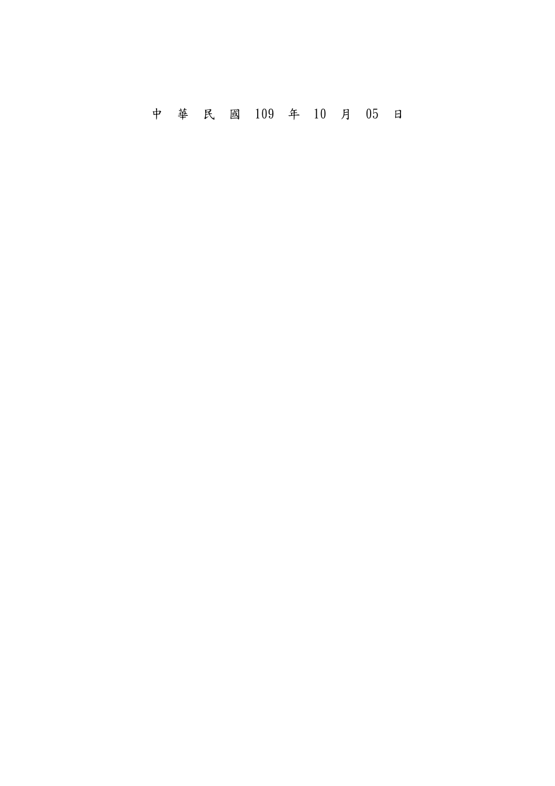中 華 民 國 109 年 10 月 05 日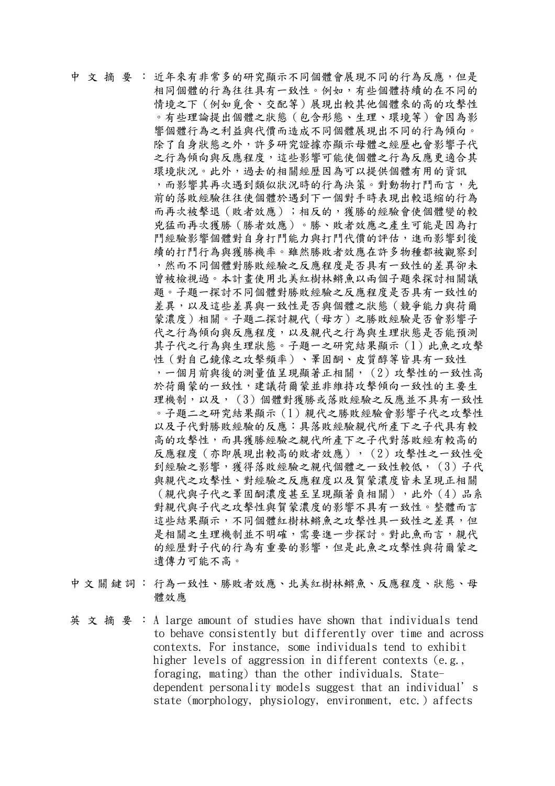中 文 摘 要 : 近年來有非常多的研究顯示不同個體會展現不同的行為反應,但是 相同個體的行為往往具有一致性。例如,有些個體持續的在不同的 情境之下(例如覓食、交配等)展現出較其他個體來的高的攻擊性 。有些理論提出個體之狀態(包含形態、生理、環境等)會因為影 響個體行為之利益與代價而造成不同個體展現出不同的行為傾向。 除了自身狀態之外,許多研究證據亦顯示母體之經歷也會影響子代 之行為傾向與反應程度,這些影響可能使個體之行為反應更適合其 環境狀況。此外,過去的相關經歷因為可以提供個體有用的資訊 ,而影響其再次遇到類似狀況時的行為決策。對動物打鬥而言,先 前的落敗經驗往往使個體於遇到下一個對手時表現出較退縮的行為 而再次被擊退(敗者效應);相反的,獲勝的經驗會使個體變的較 兇猛而再次獲勝(勝者效應)。勝、敗者效應之產生可能是因為打 鬥經驗影響個體對自身打鬥能力與打鬥代價的評估,進而影響到後 續的打鬥行為與獲勝機率。雖然勝敗者效應在許多物種都被觀察到 ,然而不同個體對勝敗經驗之反應程度是否具有一致性的差異卻未 曾被檢視過。本計畫使用北美紅樹林鳉魚以兩個子題來探討相關議 題。子題一探討不同個體對勝敗經驗之反應程度是否具有一致性的 差異,以及這些差異與一致性是否與個體之狀態(競爭能力與荷爾 蒙濃度)相關。子題二探討親代(母方)之勝敗經驗是否會影響子 代之行為傾向與反應程度,以及親代之行為與生理狀態是否能預測 其子代之行為與生理狀態。子題一之研究結果顯示(1)此魚之攻擊 性(對自己鏡像之攻擊頻率)、睪固酮、皮質醇等皆具有一致性 ,一個月前與後的測量值呈現顯著正相關,(2)攻擊性的一致性高 於荷爾蒙的一致性,建議荷爾蒙並非維持攻擊傾向一致性的主要生 理機制,以及, (3)個體對獲勝或落敗經驗之反應並不具有一致性 。子題二之研究結果顯示(1)親代之勝敗經驗會影響子代之攻擊性 以及子代對勝敗經驗的反應:具落敗經驗親代所產下之子代具有較 高的攻擊性,而具獲勝經驗之親代所產下之子代對落敗經有較高的 反應程度(亦即展現出較高的敗者效應), (2)攻擊性之一致性受 到經驗之影響,獲得落敗經驗之親代個體之一致性較低, (3)子代 與親代之攻擊性、對經驗之反應程度以及賀蒙濃度皆未呈現正相關 (親代與子代之睪固酮濃度甚至呈現顯著負相關),此外(4)品系 對親代與子代之攻擊性與賀蒙濃度的影響不具有一致性。整體而言 這些結果顯示,不同個體紅樹林鳉魚之攻擊性具一致性之差異,但 是相關之生理機制並不明確,需要進一步探討。對此魚而言,親代 的經歷對子代的行為有重要的影響,但是此魚之攻擊性與荷爾蒙之 遺傳力可能不高。

- 中文關鍵詞: 行為一致性、勝敗者效應、北美紅樹林鳉魚、反應程度、狀態、母 體效應
- 英文摘要: A large amount of studies have shown that individuals tend to behave consistently but differently over time and across contexts. For instance, some individuals tend to exhibit higher levels of aggression in different contexts (e.g., foraging, mating) than the other individuals. Statedependent personality models suggest that an individual's state (morphology, physiology, environment, etc.) affects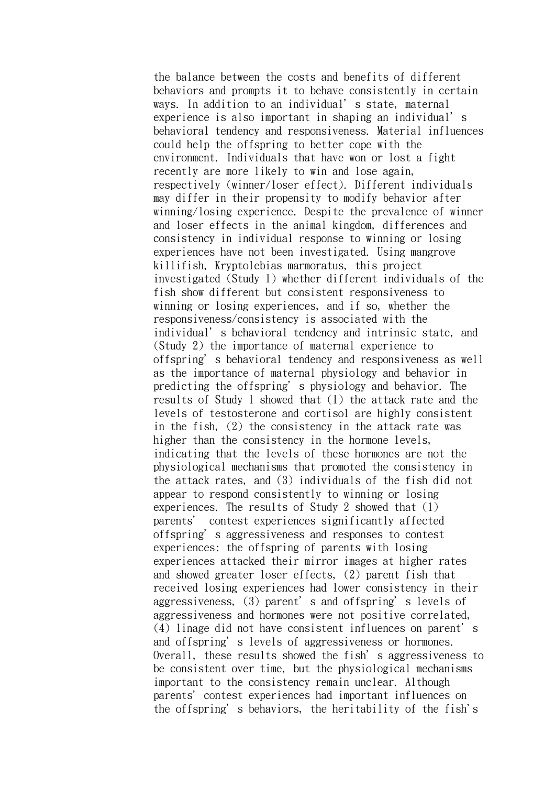the balance between the costs and benefits of different behaviors and prompts it to behave consistently in certain ways. In addition to an individual's state, maternal experience is also important in shaping an individual's behavioral tendency and responsiveness. Material influences could help the offspring to better cope with the environment. Individuals that have won or lost a fight recently are more likely to win and lose again, respectively (winner/loser effect). Different individuals may differ in their propensity to modify behavior after winning/losing experience. Despite the prevalence of winner and loser effects in the animal kingdom, differences and consistency in individual response to winning or losing experiences have not been investigated. Using mangrove killifish, Kryptolebias marmoratus, this project investigated (Study 1) whether different individuals of the fish show different but consistent responsiveness to winning or losing experiences, and if so, whether the responsiveness/consistency is associated with the individual's behavioral tendency and intrinsic state, and (Study 2) the importance of maternal experience to offspring's behavioral tendency and responsiveness as well as the importance of maternal physiology and behavior in predicting the offspring's physiology and behavior. The results of Study 1 showed that (1) the attack rate and the levels of testosterone and cortisol are highly consistent in the fish, (2) the consistency in the attack rate was higher than the consistency in the hormone levels, indicating that the levels of these hormones are not the physiological mechanisms that promoted the consistency in the attack rates, and (3) individuals of the fish did not appear to respond consistently to winning or losing experiences. The results of Study 2 showed that (1) parents' contest experiences significantly affected offspring's aggressiveness and responses to contest experiences: the offspring of parents with losing experiences attacked their mirror images at higher rates and showed greater loser effects, (2) parent fish that received losing experiences had lower consistency in their aggressiveness, (3) parent's and offspring's levels of aggressiveness and hormones were not positive correlated, (4) linage did not have consistent influences on parent's and offspring's levels of aggressiveness or hormones. Overall, these results showed the fish's aggressiveness to be consistent over time, but the physiological mechanisms important to the consistency remain unclear. Although parents' contest experiences had important influences on the offspring's behaviors, the heritability of the fish's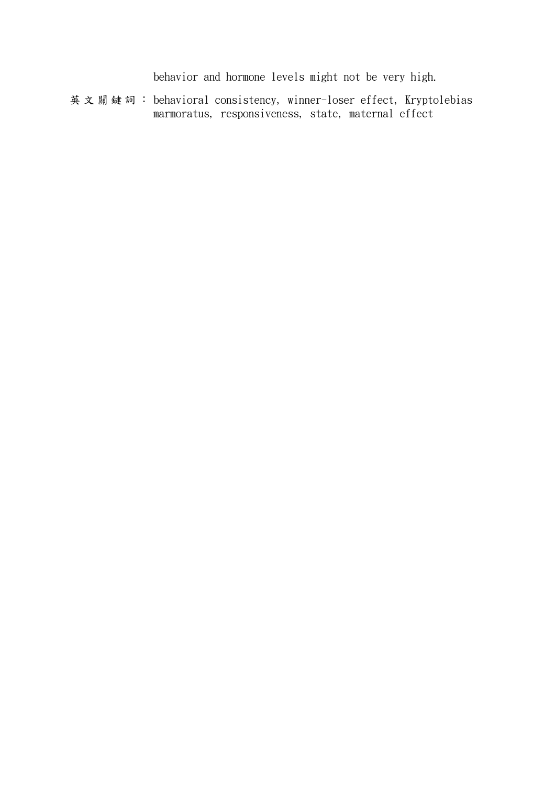behavior and hormone levels might not be very high.

英文關鍵詞: behavioral consistency, winner-loser effect, Kryptolebias marmoratus, responsiveness, state, maternal effect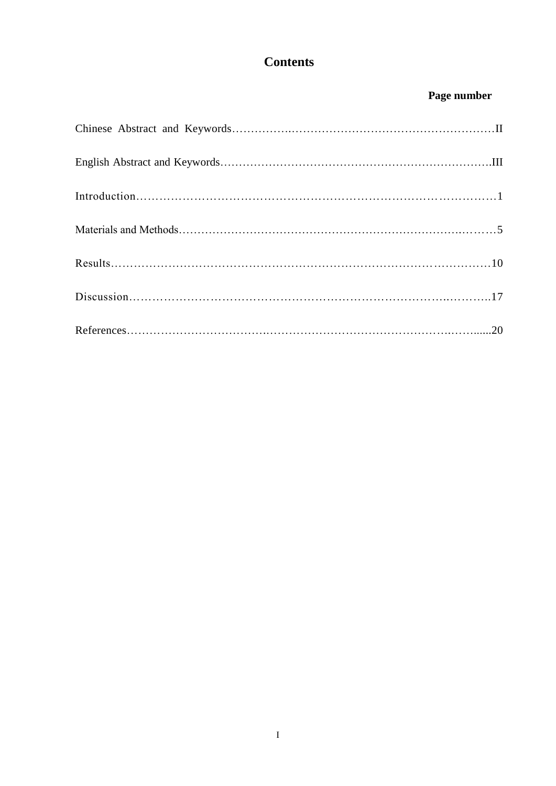# **Contents**

## **Page number**

| $\label{eq:introduction} \begin{minipage}[c]{0.9\linewidth} \begin{minipage}[c]{0.9\linewidth} \begin{minipage}[c]{0.9\linewidth} \begin{minipage}[c]{0.9\linewidth} \begin{minipage}[c]{0.9\linewidth} \end{minipage}[c]{0.9\linewidth} \begin{minipage}[c]{0.9\linewidth} \begin{minipage}[c]{0.9\linewidth} \end{minipage}[c]{0.9\linewidth} \end{minipage}[c]{0.9\linewidth} \begin{minipage}[c]{0.9\linewidth} \begin{minipage}[c]{0.9\linewidth} \end{minipage}[c]{0.9\linewidth} \begin{minipage}[c]{0.9\linewidth} \end$ |  |
|----------------------------------------------------------------------------------------------------------------------------------------------------------------------------------------------------------------------------------------------------------------------------------------------------------------------------------------------------------------------------------------------------------------------------------------------------------------------------------------------------------------------------------|--|
|                                                                                                                                                                                                                                                                                                                                                                                                                                                                                                                                  |  |
|                                                                                                                                                                                                                                                                                                                                                                                                                                                                                                                                  |  |
|                                                                                                                                                                                                                                                                                                                                                                                                                                                                                                                                  |  |
|                                                                                                                                                                                                                                                                                                                                                                                                                                                                                                                                  |  |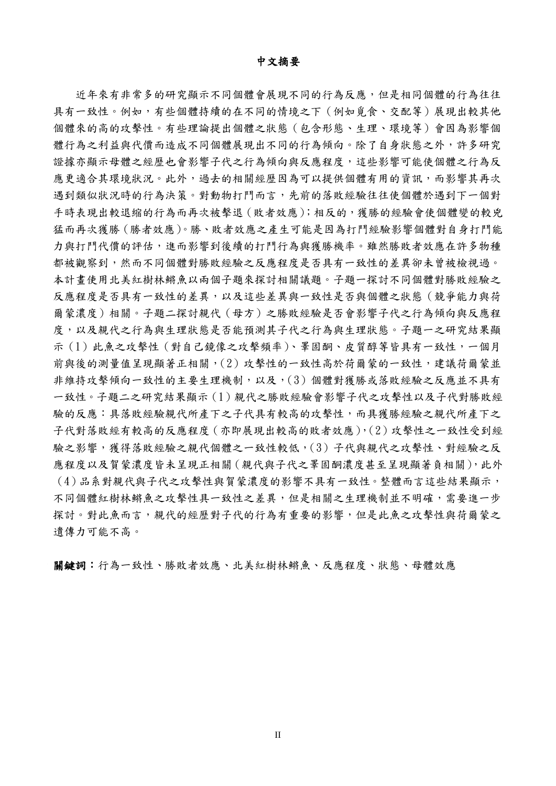中文摘要

近年來有非常多的研究顯示不同個體會展現不同的行為反應,但是相同個體的行為往往 具有一致性。例如,有些個體持續的在不同的情境之下(例如覓食、交配等)展現出較其他 個體來的高的攻擊性。有些理論提出個體之狀態(包含形態、生理、環境等)會因為影響個 體行為之利益與代價而造成不同個體展現出不同的行為傾向。除了自身狀態之外,許多研究 證據亦顯示母體之經歷也會影響子代之行為傾向與反應程度,這些影響可能使個體之行為反 應更適合其環境狀況。此外,過去的相關經歷因為可以提供個體有用的資訊,而影響其再次 遇到類似狀況時的行為決策。對動物打鬥而言,先前的落敗經驗往往使個體於遇到下一個對 手時表現出較退縮的行為而再次被擊退(敗者效應);相反的,獲勝的經驗會使個體變的較兇 猛而再次獲勝(勝者效應)。勝、敗者效應之產生可能是因為打鬥經驗影響個體對自身打鬥能 力與打鬥代價的評估,進而影響到後續的打鬥行為與獲勝機率。雖然勝敗者效應在許多物種 都被觀察到,然而不同個體對勝敗經驗之反應程度是否具有一致性的差異卻未曾被檢視過。 本計畫使用北美紅樹林鳉魚以兩個子題來探討相關議題。子題一探討不同個體對勝敗經驗之 反應程度是否具有一致性的差異,以及這些差異與一致性是否與個體之狀態(競爭能力與荷 爾蒙濃度)相關。子題二探討親代(母方)之勝敗經驗是否會影響子代之行為傾向與反應程 度,以及親代之行為與生理狀態是否能預測其子代之行為與生理狀態。子題一之研究結果顯 示(1)此魚之攻擊性(對自己鏡像之攻擊頻率)、睪固酮、皮質醇等皆具有一致性,一個月 前與後的測量值呈現顯著正相關,(2)攻擊性的一致性高於荷爾蒙的一致性,建議荷爾蒙並 非維持攻擊傾向一致性的主要生理機制,以及,(3)個體對獲勝或落敗經驗之反應並不具有 一致性。子題二之研究結果顯示(1)親代之勝敗經驗會影響子代之攻擊性以及子代對勝敗經 驗的反應:具落敗經驗規代所產下之子代具有較高的攻擊性,而具獲勝經驗之親代所產下之 子代對落敗經有較高的反應程度(亦即展現出較高的敗者效應),(2)攻擊性之一致性受到經 驗之影響,獲得落敗經驗之親代個體之一致性較低,(3)子代與親代之攻擊性、對經驗之反 應程度以及賀蒙濃度皆未呈現正相關(親代與子代之睪固酮濃度甚至呈現顯著負相關),此外 (4)品系對親代與子代之攻擊性與賀蒙濃度的影響不具有一致性。整體而言這些結果顯示, 不同個體紅樹林鳉魚之攻擊性具一致性之差異,但是相關之生理機制並不明確,需要進一步 探討。對此魚而言,親代的經歷對子代的行為有重要的影響,但是此魚之攻擊性與荷爾蒙之 遺傳力可能不高。

關鍵詞:行為一致性、勝敗者效應、北美紅樹林鳉魚、反應程度、狀態、母體效應

II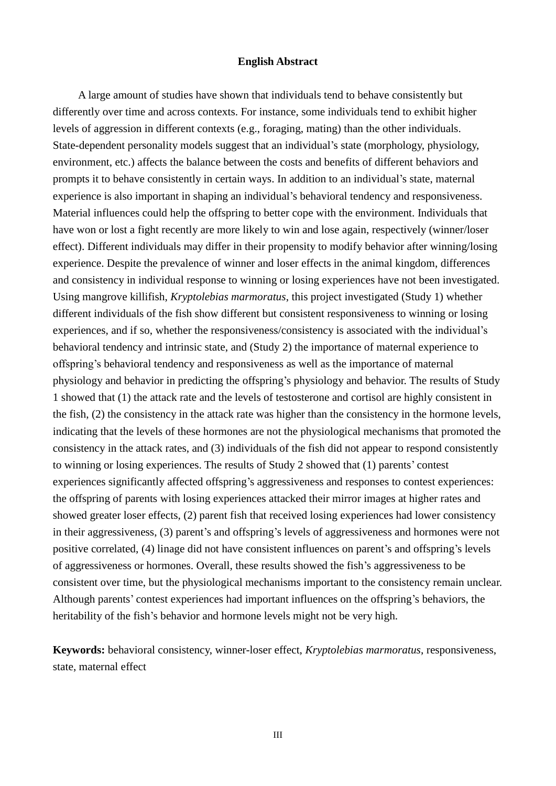#### **English Abstract**

A large amount of studies have shown that individuals tend to behave consistently but differently over time and across contexts. For instance, some individuals tend to exhibit higher levels of aggression in different contexts (e.g., foraging, mating) than the other individuals. State-dependent personality models suggest that an individual's state (morphology, physiology, environment, etc.) affects the balance between the costs and benefits of different behaviors and prompts it to behave consistently in certain ways. In addition to an individual's state, maternal experience is also important in shaping an individual's behavioral tendency and responsiveness. Material influences could help the offspring to better cope with the environment. Individuals that have won or lost a fight recently are more likely to win and lose again, respectively (winner/loser effect). Different individuals may differ in their propensity to modify behavior after winning/losing experience. Despite the prevalence of winner and loser effects in the animal kingdom, differences and consistency in individual response to winning or losing experiences have not been investigated. Using mangrove killifish, *Kryptolebias marmoratus*, this project investigated (Study 1) whether different individuals of the fish show different but consistent responsiveness to winning or losing experiences, and if so, whether the responsiveness/consistency is associated with the individual's behavioral tendency and intrinsic state, and (Study 2) the importance of maternal experience to offspring's behavioral tendency and responsiveness as well as the importance of maternal physiology and behavior in predicting the offspring's physiology and behavior. The results of Study 1 showed that (1) the attack rate and the levels of testosterone and cortisol are highly consistent in the fish, (2) the consistency in the attack rate was higher than the consistency in the hormone levels, indicating that the levels of these hormones are not the physiological mechanisms that promoted the consistency in the attack rates, and (3) individuals of the fish did not appear to respond consistently to winning or losing experiences. The results of Study 2 showed that (1) parents' contest experiences significantly affected offspring's aggressiveness and responses to contest experiences: the offspring of parents with losing experiences attacked their mirror images at higher rates and showed greater loser effects, (2) parent fish that received losing experiences had lower consistency in their aggressiveness, (3) parent's and offspring's levels of aggressiveness and hormones were not positive correlated, (4) linage did not have consistent influences on parent's and offspring's levels of aggressiveness or hormones. Overall, these results showed the fish's aggressiveness to be consistent over time, but the physiological mechanisms important to the consistency remain unclear. Although parents' contest experiences had important influences on the offspring's behaviors, the heritability of the fish's behavior and hormone levels might not be very high.

**Keywords:** behavioral consistency, winner-loser effect, *Kryptolebias marmoratus*, responsiveness, state, maternal effect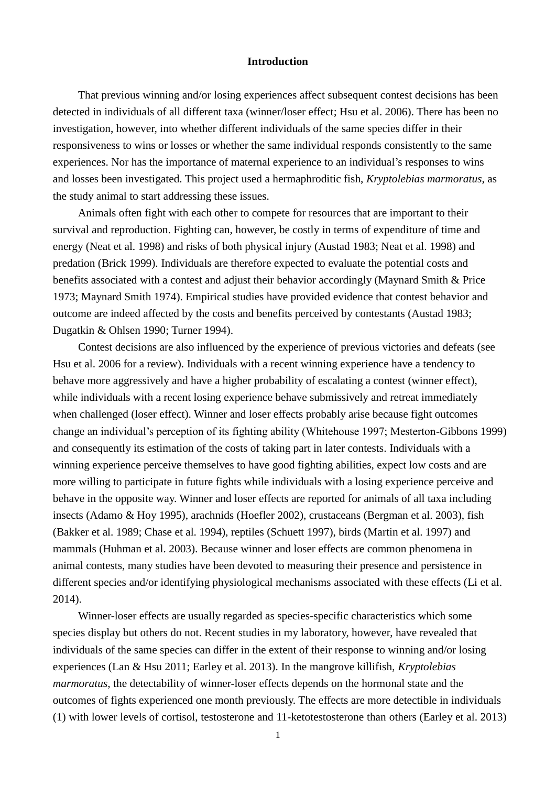#### **Introduction**

That previous winning and/or losing experiences affect subsequent contest decisions has been detected in individuals of all different taxa (winner/loser effect; Hsu et al. 2006). There has been no investigation, however, into whether different individuals of the same species differ in their responsiveness to wins or losses or whether the same individual responds consistently to the same experiences. Nor has the importance of maternal experience to an individual's responses to wins and losses been investigated. This project used a hermaphroditic fish, *Kryptolebias marmoratus*, as the study animal to start addressing these issues.

Animals often fight with each other to compete for resources that are important to their survival and reproduction. Fighting can, however, be costly in terms of expenditure of time and energy (Neat et al. 1998) and risks of both physical injury (Austad 1983; Neat et al. 1998) and predation (Brick 1999). Individuals are therefore expected to evaluate the potential costs and benefits associated with a contest and adjust their behavior accordingly (Maynard Smith & Price 1973; Maynard Smith 1974). Empirical studies have provided evidence that contest behavior and outcome are indeed affected by the costs and benefits perceived by contestants (Austad 1983; Dugatkin & Ohlsen 1990; Turner 1994).

Contest decisions are also influenced by the experience of previous victories and defeats (see Hsu et al. 2006 for a review). Individuals with a recent winning experience have a tendency to behave more aggressively and have a higher probability of escalating a contest (winner effect), while individuals with a recent losing experience behave submissively and retreat immediately when challenged (loser effect). Winner and loser effects probably arise because fight outcomes change an individual's perception of its fighting ability (Whitehouse 1997; Mesterton-Gibbons 1999) and consequently its estimation of the costs of taking part in later contests. Individuals with a winning experience perceive themselves to have good fighting abilities, expect low costs and are more willing to participate in future fights while individuals with a losing experience perceive and behave in the opposite way. Winner and loser effects are reported for animals of all taxa including insects (Adamo & Hoy 1995), arachnids (Hoefler 2002), crustaceans (Bergman et al. 2003), fish (Bakker et al. 1989; Chase et al. 1994), reptiles (Schuett 1997), birds (Martin et al. 1997) and mammals (Huhman et al. 2003). Because winner and loser effects are common phenomena in animal contests, many studies have been devoted to measuring their presence and persistence in different species and/or identifying physiological mechanisms associated with these effects (Li et al. 2014).

Winner-loser effects are usually regarded as species-specific characteristics which some species display but others do not. Recent studies in my laboratory, however, have revealed that individuals of the same species can differ in the extent of their response to winning and/or losing experiences (Lan & Hsu 2011; Earley et al. 2013). In the mangrove killifish, *Kryptolebias marmoratus*, the detectability of winner-loser effects depends on the hormonal state and the outcomes of fights experienced one month previously. The effects are more detectible in individuals (1) with lower levels of cortisol, testosterone and 11-ketotestosterone than others (Earley et al. 2013)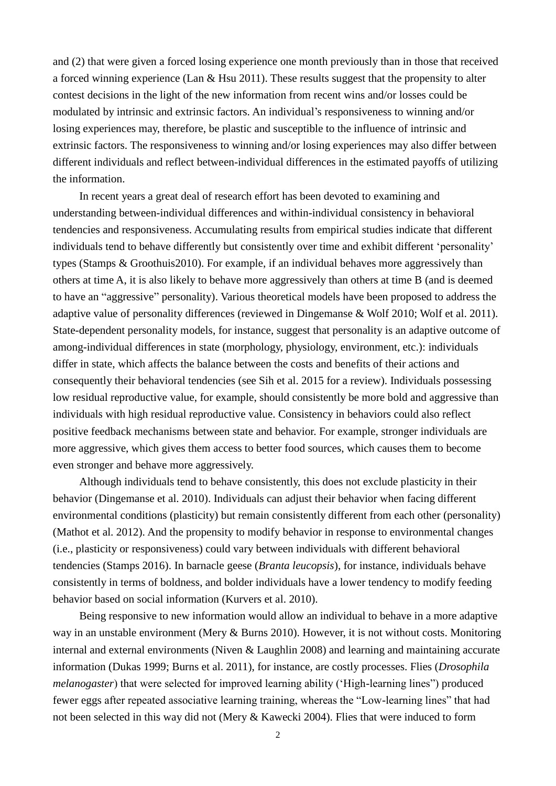and (2) that were given a forced losing experience one month previously than in those that received a forced winning experience (Lan  $&$  Hsu 2011). These results suggest that the propensity to alter contest decisions in the light of the new information from recent wins and/or losses could be modulated by intrinsic and extrinsic factors. An individual's responsiveness to winning and/or losing experiences may, therefore, be plastic and susceptible to the influence of intrinsic and extrinsic factors. The responsiveness to winning and/or losing experiences may also differ between different individuals and reflect between-individual differences in the estimated payoffs of utilizing the information.

In recent years a great deal of research effort has been devoted to examining and understanding between-individual differences and within-individual consistency in behavioral tendencies and responsiveness. Accumulating results from empirical studies indicate that different individuals tend to behave differently but consistently over time and exhibit different 'personality' types (Stamps & Groothuis2010). For example, if an individual behaves more aggressively than others at time A, it is also likely to behave more aggressively than others at time B (and is deemed to have an "aggressive" personality). Various theoretical models have been proposed to address the adaptive value of personality differences (reviewed in Dingemanse & Wolf 2010; Wolf et al. 2011). State-dependent personality models, for instance, suggest that personality is an adaptive outcome of among-individual differences in state (morphology, physiology, environment, etc.): individuals differ in state, which affects the balance between the costs and benefits of their actions and consequently their behavioral tendencies (see Sih et al. 2015 for a review). Individuals possessing low residual reproductive value, for example, should consistently be more bold and aggressive than individuals with high residual reproductive value. Consistency in behaviors could also reflect positive feedback mechanisms between state and behavior. For example, stronger individuals are more aggressive, which gives them access to better food sources, which causes them to become even stronger and behave more aggressively.

Although individuals tend to behave consistently, this does not exclude plasticity in their behavior (Dingemanse et al. 2010). Individuals can adjust their behavior when facing different environmental conditions (plasticity) but remain consistently different from each other (personality) (Mathot et al. 2012). And the propensity to modify behavior in response to environmental changes (i.e., plasticity or responsiveness) could vary between individuals with different behavioral tendencies (Stamps 2016). In barnacle geese (*Branta leucopsis*), for instance, individuals behave consistently in terms of boldness, and bolder individuals have a lower tendency to modify feeding behavior based on social information (Kurvers et al. 2010).

Being responsive to new information would allow an individual to behave in a more adaptive way in an unstable environment (Mery & Burns 2010). However, it is not without costs. Monitoring internal and external environments (Niven & Laughlin 2008) and learning and maintaining accurate information (Dukas 1999; Burns et al. 2011), for instance, are costly processes. Flies (*Drosophila melanogaster*) that were selected for improved learning ability ('High-learning lines") produced fewer eggs after repeated associative learning training, whereas the "Low-learning lines" that had not been selected in this way did not (Mery & Kawecki 2004). Flies that were induced to form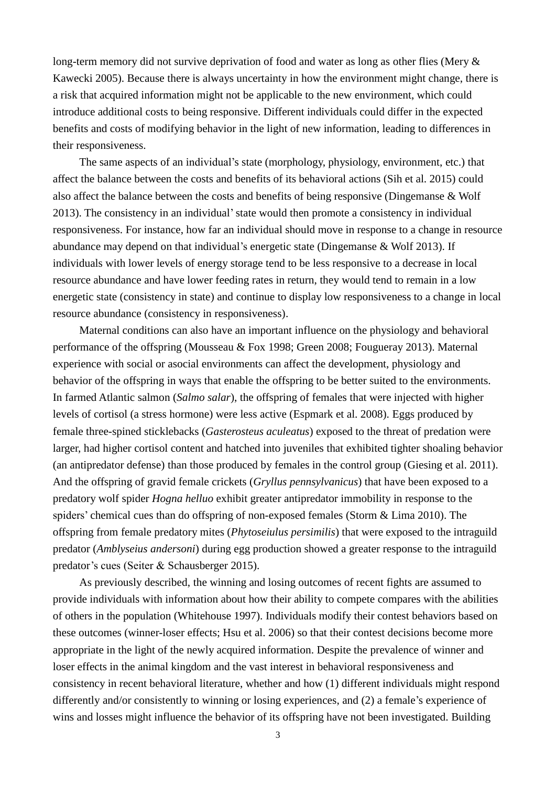long-term memory did not survive deprivation of food and water as long as other flies (Mery  $\&$ Kawecki 2005). Because there is always uncertainty in how the environment might change, there is a risk that acquired information might not be applicable to the new environment, which could introduce additional costs to being responsive. Different individuals could differ in the expected benefits and costs of modifying behavior in the light of new information, leading to differences in their responsiveness.

The same aspects of an individual's state (morphology, physiology, environment, etc.) that affect the balance between the costs and benefits of its behavioral actions (Sih et al. 2015) could also affect the balance between the costs and benefits of being responsive (Dingemanse & Wolf 2013). The consistency in an individual'state would then promote a consistency in individual responsiveness. For instance, how far an individual should move in response to a change in resource abundance may depend on that individual's energetic state (Dingemanse & Wolf 2013). If individuals with lower levels of energy storage tend to be less responsive to a decrease in local resource abundance and have lower feeding rates in return, they would tend to remain in a low energetic state (consistency in state) and continue to display low responsiveness to a change in local resource abundance (consistency in responsiveness).

Maternal conditions can also have an important influence on the physiology and behavioral performance of the offspring (Mousseau & Fox 1998; Green 2008; Fougueray 2013). Maternal experience with social or asocial environments can affect the development, physiology and behavior of the offspring in ways that enable the offspring to be better suited to the environments. In farmed Atlantic salmon (*Salmo salar*), the offspring of females that were injected with higher levels of cortisol (a stress hormone) were less active (Espmark et al. 2008). Eggs produced by female three-spined sticklebacks (*Gasterosteus aculeatus*) exposed to the threat of predation were larger, had higher cortisol content and hatched into juveniles that exhibited tighter shoaling behavior (an antipredator defense) than those produced by females in the control group (Giesing et al. 2011). And the offspring of gravid female crickets (*Gryllus pennsylvanicus*) that have been exposed to a predatory wolf spider *Hogna helluo* exhibit greater antipredator immobility in response to the spiders' chemical cues than do offspring of non-exposed females (Storm & Lima 2010). The offspring from female predatory mites (*Phytoseiulus persimilis*) that were exposed to the intraguild predator (*Amblyseius andersoni*) during egg production showed a greater response to the intraguild predator's cues (Seiter & Schausberger 2015).

As previously described, the winning and losing outcomes of recent fights are assumed to provide individuals with information about how their ability to compete compares with the abilities of others in the population (Whitehouse 1997). Individuals modify their contest behaviors based on these outcomes (winner-loser effects; Hsu et al. 2006) so that their contest decisions become more appropriate in the light of the newly acquired information. Despite the prevalence of winner and loser effects in the animal kingdom and the vast interest in behavioral responsiveness and consistency in recent behavioral literature, whether and how (1) different individuals might respond differently and/or consistently to winning or losing experiences, and (2) a female's experience of wins and losses might influence the behavior of its offspring have not been investigated. Building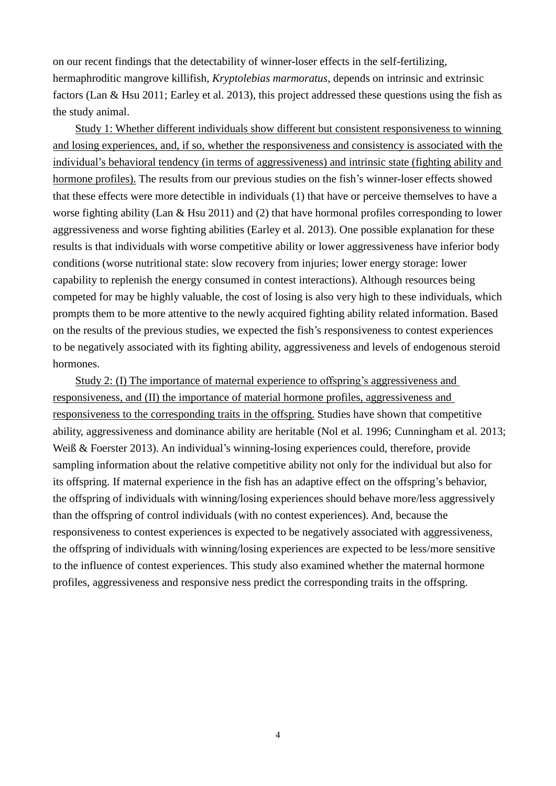on our recent findings that the detectability of winner-loser effects in the self-fertilizing, hermaphroditic mangrove killifish, *Kryptolebias marmoratus*, depends on intrinsic and extrinsic factors (Lan & Hsu 2011; Earley et al. 2013), this project addressed these questions using the fish as the study animal.

Study 1: Whether different individuals show different but consistent responsiveness to winning and losing experiences, and, if so, whether the responsiveness and consistency is associated with the individual's behavioral tendency (in terms of aggressiveness) and intrinsic state (fighting ability and hormone profiles). The results from our previous studies on the fish's winner-loser effects showed that these effects were more detectible in individuals (1) that have or perceive themselves to have a worse fighting ability (Lan & Hsu 2011) and (2) that have hormonal profiles corresponding to lower aggressiveness and worse fighting abilities (Earley et al. 2013). One possible explanation for these results is that individuals with worse competitive ability or lower aggressiveness have inferior body conditions (worse nutritional state: slow recovery from injuries; lower energy storage: lower capability to replenish the energy consumed in contest interactions). Although resources being competed for may be highly valuable, the cost of losing is also very high to these individuals, which prompts them to be more attentive to the newly acquired fighting ability related information. Based on the results of the previous studies, we expected the fish's responsiveness to contest experiences to be negatively associated with its fighting ability, aggressiveness and levels of endogenous steroid hormones.

Study 2: (I) The importance of maternal experience to offspring's aggressiveness and responsiveness, and (II) the importance of material hormone profiles, aggressiveness and responsiveness to the corresponding traits in the offspring. Studies have shown that competitive ability, aggressiveness and dominance ability are heritable (Nol et al. 1996; Cunningham et al. 2013; Weiß & Foerster 2013). An individual's winning-losing experiences could, therefore, provide sampling information about the relative competitive ability not only for the individual but also for its offspring. If maternal experience in the fish has an adaptive effect on the offspring's behavior, the offspring of individuals with winning/losing experiences should behave more/less aggressively than the offspring of control individuals (with no contest experiences). And, because the responsiveness to contest experiences is expected to be negatively associated with aggressiveness, the offspring of individuals with winning/losing experiences are expected to be less/more sensitive to the influence of contest experiences. This study also examined whether the maternal hormone profiles, aggressiveness and responsive ness predict the corresponding traits in the offspring.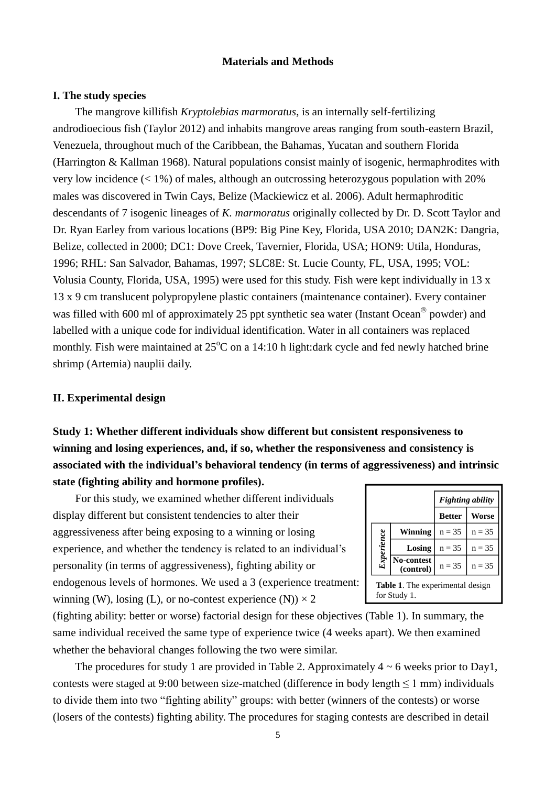### **Materials and Methods**

#### **I. The study species**

The mangrove killifish *Kryptolebias marmoratus*, is an internally self-fertilizing androdioecious fish (Taylor 2012) and inhabits mangrove areas ranging from south-eastern Brazil, Venezuela, throughout much of the Caribbean, the Bahamas, Yucatan and southern Florida (Harrington & Kallman 1968). Natural populations consist mainly of isogenic, hermaphrodites with very low incidence  $(< 1\%)$  of males, although an outcrossing heterozygous population with 20% males was discovered in Twin Cays, Belize (Mackiewicz et al. 2006). Adult hermaphroditic descendants of 7 isogenic lineages of *K. marmoratus* originally collected by Dr. D. Scott Taylor and Dr. Ryan Earley from various locations (BP9: Big Pine Key, Florida, USA 2010; DAN2K: Dangria, Belize, collected in 2000; DC1: Dove Creek, Tavernier, Florida, USA; HON9: Utila, Honduras, 1996; RHL: San Salvador, Bahamas, 1997; SLC8E: St. Lucie County, FL, USA, 1995; VOL: Volusia County, Florida, USA, 1995) were used for this study. Fish were kept individually in 13 x 13 x 9 cm translucent polypropylene plastic containers (maintenance container). Every container was filled with 600 ml of approximately 25 ppt synthetic sea water (Instant Ocean<sup>®</sup> powder) and labelled with a unique code for individual identification. Water in all containers was replaced monthly. Fish were maintained at  $25^{\circ}$ C on a 14:10 h light:dark cycle and fed newly hatched brine shrimp (Artemia) nauplii daily.

## **II. Experimental design**

**Study 1: Whether different individuals show different but consistent responsiveness to winning and losing experiences, and, if so, whether the responsiveness and consistency is associated with the individual's behavioral tendency (in terms of aggressiveness) and intrinsic state (fighting ability and hormone profiles).**

For this study, we examined whether different individuals display different but consistent tendencies to alter their aggressiveness after being exposing to a winning or losing experience, and whether the tendency is related to an individual's personality (in terms of aggressiveness), fighting ability or endogenous levels of hormones. We used a 3 (experience treatment: winning (W), losing (L), or no-contest experience (N))  $\times$  2

|                                                  |                         | <b>Fighting ability</b> |              |  |
|--------------------------------------------------|-------------------------|-------------------------|--------------|--|
|                                                  |                         | <b>Better</b>           | <b>Worse</b> |  |
|                                                  | Winning                 | $n = 35$                | $n = 35$     |  |
| Experience                                       | Losing                  | $n = 35$                | $n = 35$     |  |
|                                                  | No-contest<br>(control) | $n = 35$                | $n = 35$     |  |
| Table 1. The experimental design<br>for Study 1. |                         |                         |              |  |

(fighting ability: better or worse) factorial design for these objectives (Table 1). In summary, the same individual received the same type of experience twice (4 weeks apart). We then examined whether the behavioral changes following the two were similar.

The procedures for study 1 are provided in Table 2. Approximately  $4 \sim 6$  weeks prior to Day1, contests were staged at 9:00 between size-matched (difference in body length  $\leq 1$  mm) individuals to divide them into two "fighting ability" groups: with better (winners of the contests) or worse (losers of the contests) fighting ability. The procedures for staging contests are described in detail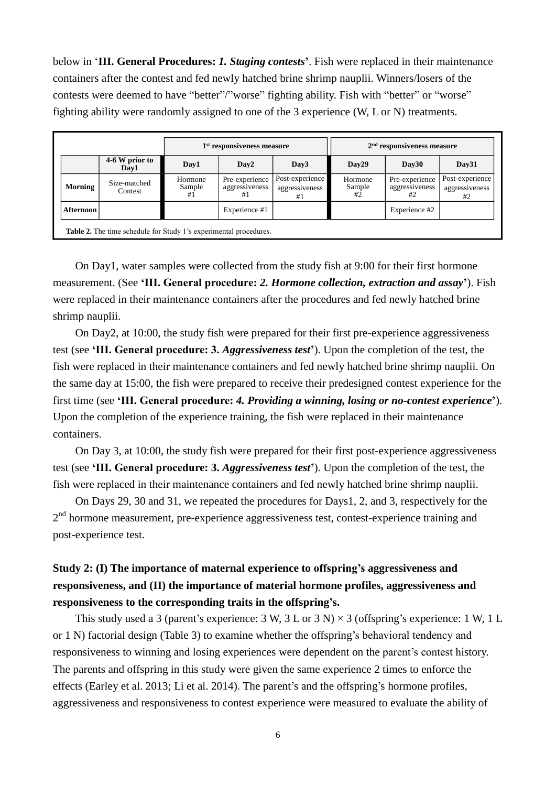below in '**III. General Procedures:** *1. Staging contests***'**. Fish were replaced in their maintenance containers after the contest and fed newly hatched brine shrimp nauplii. Winners/losers of the contests were deemed to have "better"/"worse" fighting ability. Fish with "better" or "worse" fighting ability were randomly assigned to one of the 3 experience (W, L or N) treatments.

|  |           |                         | 1 <sup>st</sup> responsiveness measure |                                        |                                         | $2nd$ responsiveness measure |                                        |                                         |
|--|-----------|-------------------------|----------------------------------------|----------------------------------------|-----------------------------------------|------------------------------|----------------------------------------|-----------------------------------------|
|  |           | 4-6 W prior to<br>Day1  | Day1                                   | Day <sub>2</sub>                       | Day3                                    | Day29                        | Day30                                  | Day31                                   |
|  | Morning   | Size-matched<br>Contest | Hormone<br>Sample<br>#1                | Pre-experience<br>aggressiveness<br>#1 | Post-experience<br>aggressiveness<br>#1 | Hormone<br>Sample<br>#2      | Pre-experience<br>aggressiveness<br>#2 | Post-experience<br>aggressiveness<br>#2 |
|  | Afternoon |                         |                                        | Experience #1                          |                                         |                              | Experience #2                          |                                         |

**Table 2.** The time schedule for Study 1's experimental procedures.

On Day1, water samples were collected from the study fish at 9:00 for their first hormone measurement. (See **'III. General procedure:** *2. Hormone collection, extraction and assay***'**). Fish were replaced in their maintenance containers after the procedures and fed newly hatched brine shrimp nauplii.

On Day2, at 10:00, the study fish were prepared for their first pre-experience aggressiveness test (see **'III. General procedure: 3.** *Aggressiveness test***'**). Upon the completion of the test, the fish were replaced in their maintenance containers and fed newly hatched brine shrimp nauplii. On the same day at 15:00, the fish were prepared to receive their predesigned contest experience for the first time (see **'III. General procedure:** *4. Providing a winning, losing or no-contest experience***'**). Upon the completion of the experience training, the fish were replaced in their maintenance containers.

On Day 3, at 10:00, the study fish were prepared for their first post-experience aggressiveness test (see **'III. General procedure: 3.** *Aggressiveness test***'**). Upon the completion of the test, the fish were replaced in their maintenance containers and fed newly hatched brine shrimp nauplii.

On Days 29, 30 and 31, we repeated the procedures for Days1, 2, and 3, respectively for the 2<sup>nd</sup> hormone measurement, pre-experience aggressiveness test, contest-experience training and post-experience test.

## **Study 2: (I) The importance of maternal experience to offspring's aggressiveness and responsiveness, and (II) the importance of material hormone profiles, aggressiveness and responsiveness to the corresponding traits in the offspring's.**

This study used a 3 (parent's experience: 3 W, 3 L or 3 N)  $\times$  3 (offspring's experience: 1 W, 1 L or 1 N) factorial design (Table 3) to examine whether the offspring's behavioral tendency and responsiveness to winning and losing experiences were dependent on the parent's contest history. The parents and offspring in this study were given the same experience 2 times to enforce the effects (Earley et al. 2013; Li et al. 2014). The parent's and the offspring's hormone profiles, aggressiveness and responsiveness to contest experience were measured to evaluate the ability of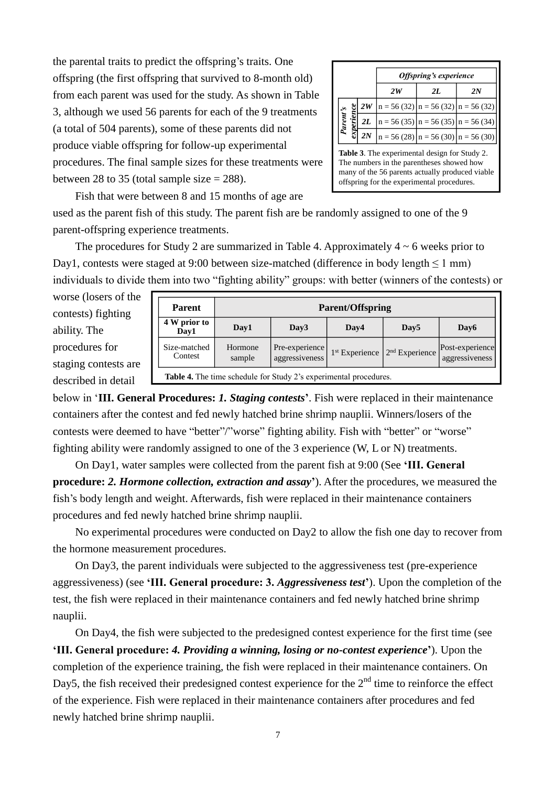the parental traits to predict the offspring's traits. One offspring (the first offspring that survived to 8-month old) from each parent was used for the study. As shown in Table 3, although we used 56 parents for each of the 9 treatments (a total of 504 parents), some of these parents did not produce viable offspring for follow-up experimental procedures. The final sample sizes for these treatments were between 28 to 35 (total sample size  $= 288$ ).

|                               |    |                                                                     | <b>Offspring's experience</b> |                                        |
|-------------------------------|----|---------------------------------------------------------------------|-------------------------------|----------------------------------------|
|                               |    | 2W                                                                  | 2L                            | 2N                                     |
|                               | 2W | $n = 56(32)$ $n = 56(32)$ $n = 56(32)$                              |                               |                                        |
| <sup>D</sup> arent's<br>erier | 2L | $\left  n = 56 (35) \right  n = 56 (35) \left  n = 56 (34) \right $ |                               |                                        |
|                               | 2N |                                                                     |                               | $n = 56(28)$ $n = 56(30)$ $n = 56(30)$ |

**Table 3**. The experimental design for Study 2. The numbers in the parentheses showed how many of the 56 parents actually produced viable offspring for the experimental procedures.

Fish that were between 8 and 15 months of age are used as the parent fish of this study. The parent fish are be randomly assigned to one of the 9 parent-offspring experience treatments.

The procedures for Study 2 are summarized in Table 4. Approximately  $4 \sim 6$  weeks prior to Day1, contests were staged at 9:00 between size-matched (difference in body length ≤ 1 mm) individuals to divide them into two "fighting ability" groups: with better (winners of the contests) or

worse (losers of the contests) fighting ability. The procedures for staging contests are described in detail

| <b>Parent</b>                                                     |                   |                                  | <b>Parent/Offspring</b>    |                            |                                   |
|-------------------------------------------------------------------|-------------------|----------------------------------|----------------------------|----------------------------|-----------------------------------|
| 4 W prior to<br>Day1                                              | Day1              | Day3                             | Day4                       | Day <sub>5</sub>           | Day6                              |
| Size-matched<br>Contest                                           | Hormone<br>sample | Pre-experience<br>aggressiveness | 1 <sup>st</sup> Experience | 2 <sup>nd</sup> Experience | Post-experience<br>aggressiveness |
| Table 4. The time schedule for Study 2's experimental procedures. |                   |                                  |                            |                            |                                   |

below in '**III. General Procedures:** *1. Staging contests***'**. Fish were replaced in their maintenance containers after the contest and fed newly hatched brine shrimp nauplii. Winners/losers of the contests were deemed to have "better"/"worse" fighting ability. Fish with "better" or "worse" fighting ability were randomly assigned to one of the 3 experience (W, L or N) treatments.

On Day1, water samples were collected from the parent fish at 9:00 (See **'III. General procedure:** *2. Hormone collection, extraction and assay***'**). After the procedures, we measured the fish's body length and weight. Afterwards, fish were replaced in their maintenance containers procedures and fed newly hatched brine shrimp nauplii.

No experimental procedures were conducted on Day2 to allow the fish one day to recover from the hormone measurement procedures.

On Day3, the parent individuals were subjected to the aggressiveness test (pre-experience aggressiveness) (see **'III. General procedure: 3.** *Aggressiveness test***'**). Upon the completion of the test, the fish were replaced in their maintenance containers and fed newly hatched brine shrimp nauplii.

On Day4, the fish were subjected to the predesigned contest experience for the first time (see **'III. General procedure:** *4. Providing a winning, losing or no-contest experience***'**). Upon the completion of the experience training, the fish were replaced in their maintenance containers. On Day5, the fish received their predesigned contest experience for the  $2<sup>nd</sup>$  time to reinforce the effect of the experience. Fish were replaced in their maintenance containers after procedures and fed newly hatched brine shrimp nauplii.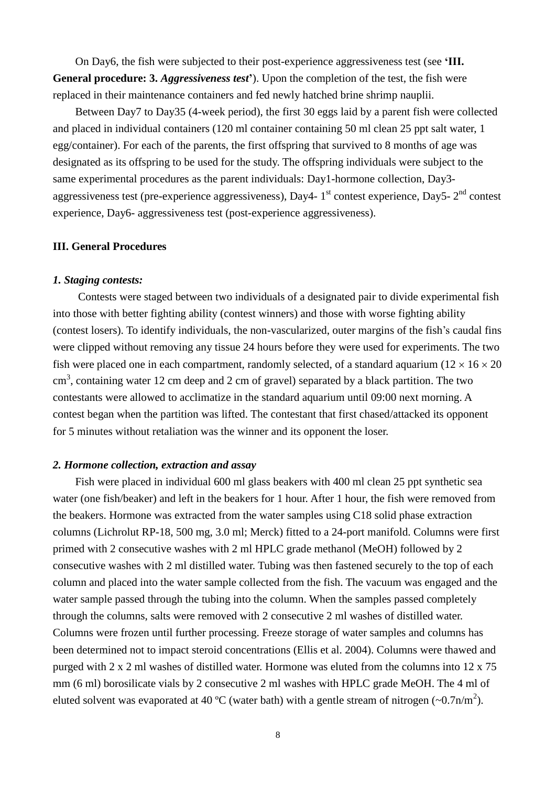On Day6, the fish were subjected to their post-experience aggressiveness test (see **'III. General procedure: 3.** *Aggressiveness test***'**). Upon the completion of the test, the fish were replaced in their maintenance containers and fed newly hatched brine shrimp nauplii.

Between Day7 to Day35 (4-week period), the first 30 eggs laid by a parent fish were collected and placed in individual containers (120 ml container containing 50 ml clean 25 ppt salt water, 1 egg/container). For each of the parents, the first offspring that survived to 8 months of age was designated as its offspring to be used for the study. The offspring individuals were subject to the same experimental procedures as the parent individuals: Day1-hormone collection, Day3 aggressiveness test (pre-experience aggressiveness), Day4-  $1<sup>st</sup>$  contest experience, Day5-  $2<sup>nd</sup>$  contest experience, Day6- aggressiveness test (post-experience aggressiveness).

#### **III. General Procedures**

#### *1. Staging contests:*

Contests were staged between two individuals of a designated pair to divide experimental fish into those with better fighting ability (contest winners) and those with worse fighting ability (contest losers). To identify individuals, the non-vascularized, outer margins of the fish's caudal fins were clipped without removing any tissue 24 hours before they were used for experiments. The two fish were placed one in each compartment, randomly selected, of a standard aquarium ( $12 \times 16 \times 20$ )  $\text{cm}^3$ , containing water 12 cm deep and 2 cm of gravel) separated by a black partition. The two contestants were allowed to acclimatize in the standard aquarium until 09:00 next morning. A contest began when the partition was lifted. The contestant that first chased/attacked its opponent for 5 minutes without retaliation was the winner and its opponent the loser.

## *2. Hormone collection, extraction and assay*

Fish were placed in individual 600 ml glass beakers with 400 ml clean 25 ppt synthetic sea water (one fish/beaker) and left in the beakers for 1 hour. After 1 hour, the fish were removed from the beakers. Hormone was extracted from the water samples using C18 solid phase extraction columns (Lichrolut RP-18, 500 mg, 3.0 ml; Merck) fitted to a 24-port manifold. Columns were first primed with 2 consecutive washes with 2 ml HPLC grade methanol (MeOH) followed by 2 consecutive washes with 2 ml distilled water. Tubing was then fastened securely to the top of each column and placed into the water sample collected from the fish. The vacuum was engaged and the water sample passed through the tubing into the column. When the samples passed completely through the columns, salts were removed with 2 consecutive 2 ml washes of distilled water. Columns were frozen until further processing. Freeze storage of water samples and columns has been determined not to impact steroid concentrations (Ellis et al. 2004). Columns were thawed and purged with 2 x 2 ml washes of distilled water. Hormone was eluted from the columns into 12 x 75 mm (6 ml) borosilicate vials by 2 consecutive 2 ml washes with HPLC grade MeOH. The 4 ml of eluted solvent was evaporated at 40 °C (water bath) with a gentle stream of nitrogen ( $\sim 0.7 \text{n/m}^2$ ).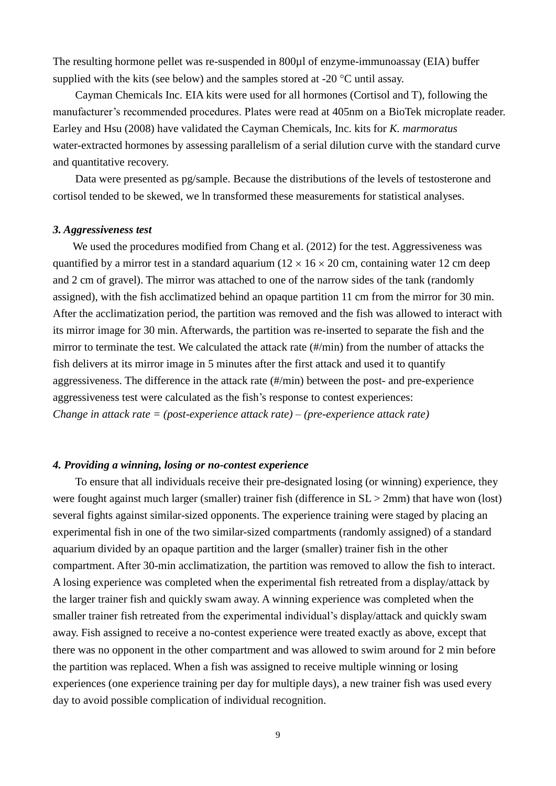The resulting hormone pellet was re-suspended in 800µl of enzyme-immunoassay (EIA) buffer supplied with the kits (see below) and the samples stored at -20  $^{\circ}$ C until assay.

Cayman Chemicals Inc. EIA kits were used for all hormones (Cortisol and T), following the manufacturer's recommended procedures. Plates were read at 405nm on a BioTek microplate reader. Earley and Hsu (2008) have validated the Cayman Chemicals, Inc. kits for *K. marmoratus* water-extracted hormones by assessing parallelism of a serial dilution curve with the standard curve and quantitative recovery.

Data were presented as pg/sample. Because the distributions of the levels of testosterone and cortisol tended to be skewed, we ln transformed these measurements for statistical analyses.

#### *3. Aggressiveness test*

We used the procedures modified from Chang et al. (2012) for the test. Aggressiveness was quantified by a mirror test in a standard aquarium ( $12 \times 16 \times 20$  cm, containing water 12 cm deep and 2 cm of gravel). The mirror was attached to one of the narrow sides of the tank (randomly assigned), with the fish acclimatized behind an opaque partition 11 cm from the mirror for 30 min. After the acclimatization period, the partition was removed and the fish was allowed to interact with its mirror image for 30 min. Afterwards, the partition was re-inserted to separate the fish and the mirror to terminate the test. We calculated the attack rate (#/min) from the number of attacks the fish delivers at its mirror image in 5 minutes after the first attack and used it to quantify aggressiveness. The difference in the attack rate (#/min) between the post- and pre-experience aggressiveness test were calculated as the fish's response to contest experiences: *Change in attack rate = (post-experience attack rate) – (pre-experience attack rate)*

## *4. Providing a winning, losing or no-contest experience*

To ensure that all individuals receive their pre-designated losing (or winning) experience, they were fought against much larger (smaller) trainer fish (difference in  $SL > 2mm$ ) that have won (lost) several fights against similar-sized opponents. The experience training were staged by placing an experimental fish in one of the two similar-sized compartments (randomly assigned) of a standard aquarium divided by an opaque partition and the larger (smaller) trainer fish in the other compartment. After 30-min acclimatization, the partition was removed to allow the fish to interact. A losing experience was completed when the experimental fish retreated from a display/attack by the larger trainer fish and quickly swam away. A winning experience was completed when the smaller trainer fish retreated from the experimental individual's display/attack and quickly swam away. Fish assigned to receive a no-contest experience were treated exactly as above, except that there was no opponent in the other compartment and was allowed to swim around for 2 min before the partition was replaced. When a fish was assigned to receive multiple winning or losing experiences (one experience training per day for multiple days), a new trainer fish was used every day to avoid possible complication of individual recognition.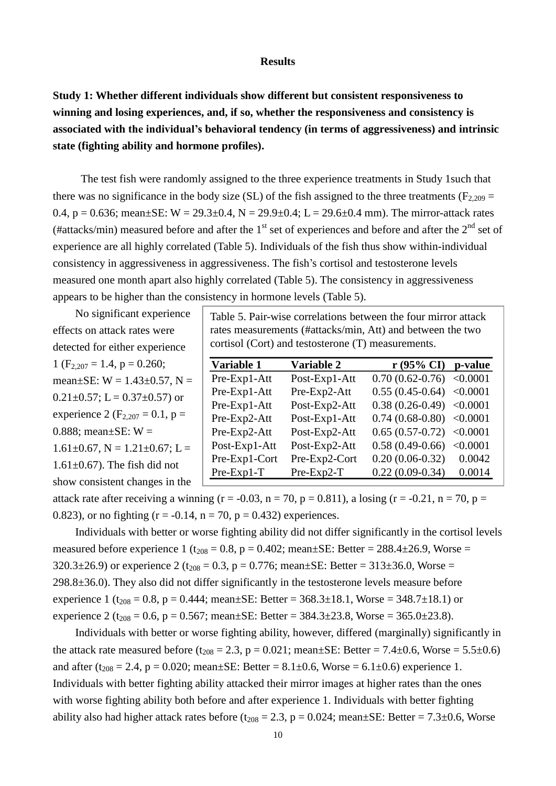#### **Results**

**Study 1: Whether different individuals show different but consistent responsiveness to winning and losing experiences, and, if so, whether the responsiveness and consistency is associated with the individual's behavioral tendency (in terms of aggressiveness) and intrinsic state (fighting ability and hormone profiles).**

The test fish were randomly assigned to the three experience treatments in Study 1such that there was no significance in the body size (SL) of the fish assigned to the three treatments ( $F_{2,209}$  = 0.4, p = 0.636; mean $\pm$ SE: W = 29.3 $\pm$ 0.4, N = 29.9 $\pm$ 0.4; L = 29.6 $\pm$ 0.4 mm). The mirror-attack rates (#attacks/min) measured before and after the  $1<sup>st</sup>$  set of experiences and before and after the  $2<sup>nd</sup>$  set of experience are all highly correlated (Table 5). Individuals of the fish thus show within-individual consistency in aggressiveness in aggressiveness. The fish's cortisol and testosterone levels measured one month apart also highly correlated (Table 5). The consistency in aggressiveness appears to be higher than the consistency in hormone levels (Table 5).

No significant experience effects on attack rates were detected for either experience 1 ( $F_{2,207} = 1.4$ ,  $p = 0.260$ ; mean $\pm$ SE: W = 1.43 $\pm$ 0.57, N =  $0.21\pm0.57$ ; L =  $0.37\pm0.57$ ) or experience 2 ( $F_{2,207} = 0.1$ , p = 0.888; mean $\pm$ SE: W =  $1.61\pm0.67$ , N =  $1.21\pm0.67$ ; L =  $1.61\pm0.67$ ). The fish did not show consistent changes in the

Table 5. Pair-wise correlations between the four mirror attack rates measurements (#attacks/min, Att) and between the two cortisol (Cort) and testosterone (T) measurements.

| Variable 1    | Variable 2    | $r$ (95% CI) p-value       |          |
|---------------|---------------|----------------------------|----------|
| Pre-Exp1-Att  | Post-Exp1-Att | $0.70(0.62-0.76) < 0.0001$ |          |
| Pre-Exp1-Att  | Pre-Exp2-Att  | $0.55(0.45-0.64) < 0.0001$ |          |
| Pre-Exp1-Att  | Post-Exp2-Att | $0.38(0.26-0.49)$ < 0.0001 |          |
| Pre-Exp2-Att  | Post-Exp1-Att | $0.74(0.68-0.80)$ < 0.0001 |          |
| Pre-Exp2-Att  | Post-Exp2-Att | $0.65(0.57-0.72)$ <0.0001  |          |
| Post-Exp1-Att | Post-Exp2-Att | $0.58(0.49-0.66)$          | < 0.0001 |
| Pre-Exp1-Cort | Pre-Exp2-Cort | $0.20(0.06-0.32)$          | 0.0042   |
| $Pre-Exp1-T$  | $Pre-Exp2-T$  | $0.22(0.09-0.34)$          | 0.0014   |

attack rate after receiving a winning ( $r = -0.03$ ,  $n = 70$ ,  $p = 0.811$ ), a losing ( $r = -0.21$ ,  $n = 70$ ,  $p =$ 0.823), or no fighting ( $r = -0.14$ ,  $n = 70$ ,  $p = 0.432$ ) experiences.

Individuals with better or worse fighting ability did not differ significantly in the cortisol levels measured before experience 1 ( $t_{208} = 0.8$ , p = 0.402; mean±SE: Better = 288.4±26.9, Worse =  $320.3\pm26.9$ ) or experience 2 (t<sub>208</sub> = 0.3, p = 0.776; mean $\pm$ SE: Better = 313 $\pm$ 36.0, Worse = 298.8±36.0). They also did not differ significantly in the testosterone levels measure before experience 1 (t<sub>208</sub> = 0.8, p = 0.444; mean±SE: Better =  $368.3 \pm 18.1$ , Worse =  $348.7 \pm 18.1$ ) or experience 2 ( $t_{208}$  = 0.6, p = 0.567; mean±SE: Better = 384.3±23.8, Worse = 365.0±23.8).

Individuals with better or worse fighting ability, however, differed (marginally) significantly in the attack rate measured before  $(t_{208} = 2.3, p = 0.021;$  mean $\pm$ SE: Better = 7.4 $\pm$ 0.6, Worse = 5.5 $\pm$ 0.6) and after ( $t_{208} = 2.4$ ,  $p = 0.020$ ; mean $\pm$ SE: Better = 8.1 $\pm$ 0.6, Worse = 6.1 $\pm$ 0.6) experience 1. Individuals with better fighting ability attacked their mirror images at higher rates than the ones with worse fighting ability both before and after experience 1. Individuals with better fighting ability also had higher attack rates before ( $t_{208} = 2.3$ ,  $p = 0.024$ ; mean $\pm$ SE: Better = 7.3 $\pm$ 0.6, Worse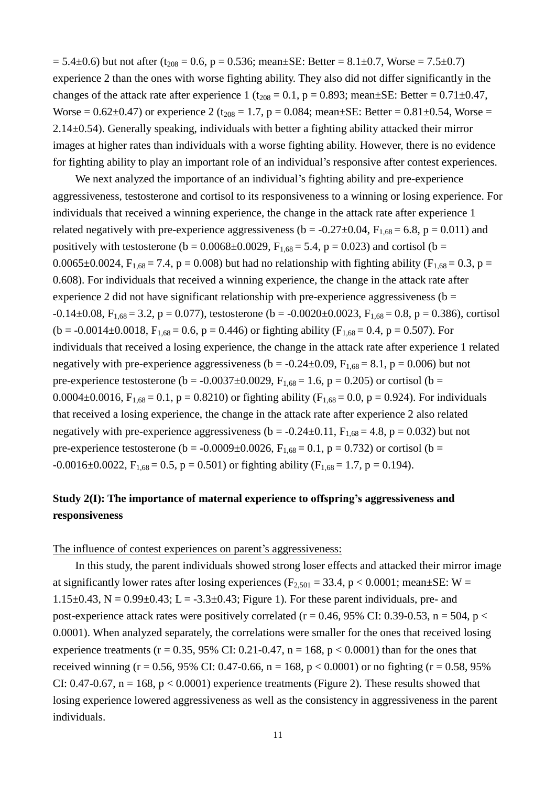$= 5.4\pm0.6$ ) but not after (t<sub>208</sub> = 0.6, p = 0.536; mean $\pm$ SE: Better = 8.1 $\pm$ 0.7, Worse = 7.5 $\pm$ 0.7) experience 2 than the ones with worse fighting ability. They also did not differ significantly in the changes of the attack rate after experience 1 ( $t_{208} = 0.1$ , p = 0.893; mean±SE: Better = 0.71±0.47, Worse =  $0.62\pm0.47$ ) or experience 2 (t<sub>208</sub> = 1.7, p = 0.084; mean $\pm$ SE: Better = 0.81 $\pm$ 0.54, Worse = 2.14±0.54). Generally speaking, individuals with better a fighting ability attacked their mirror images at higher rates than individuals with a worse fighting ability. However, there is no evidence for fighting ability to play an important role of an individual's responsive after contest experiences.

We next analyzed the importance of an individual's fighting ability and pre-experience aggressiveness, testosterone and cortisol to its responsiveness to a winning or losing experience. For individuals that received a winning experience, the change in the attack rate after experience 1 related negatively with pre-experience aggressiveness ( $b = -0.27 \pm 0.04$ ,  $F_{1,68} = 6.8$ ,  $p = 0.011$ ) and positively with testosterone ( $b = 0.0068 \pm 0.0029$ ,  $F_{1,68} = 5.4$ ,  $p = 0.023$ ) and cortisol ( $b =$ 0.0065±0.0024,  $F_{1,68} = 7.4$ , p = 0.008) but had no relationship with fighting ability ( $F_{1,68} = 0.3$ , p = 0.608). For individuals that received a winning experience, the change in the attack rate after experience 2 did not have significant relationship with pre-experience aggressiveness ( $b =$  $-0.14\pm0.08$ ,  $F_{1.68} = 3.2$ , p = 0.077), testosterone (b =  $-0.0020\pm0.0023$ ,  $F_{1.68} = 0.8$ , p = 0.386), cortisol  $(b = -0.0014 \pm 0.0018, F_{1.68} = 0.6, p = 0.446)$  or fighting ability (F<sub>1.68</sub> = 0.4, p = 0.507). For individuals that received a losing experience, the change in the attack rate after experience 1 related negatively with pre-experience aggressiveness ( $b = -0.24 \pm 0.09$ ,  $F_{1.68} = 8.1$ ,  $p = 0.006$ ) but not pre-experience testosterone (b = -0.0037 $\pm$ 0.0029, F<sub>1.68</sub> = 1.6, p = 0.205) or cortisol (b = 0.0004±0.0016,  $F_{1,68} = 0.1$ , p = 0.8210) or fighting ability ( $F_{1,68} = 0.0$ , p = 0.924). For individuals that received a losing experience, the change in the attack rate after experience 2 also related negatively with pre-experience aggressiveness ( $b = -0.24 \pm 0.11$ ,  $F_{1,68} = 4.8$ ,  $p = 0.032$ ) but not pre-experience testosterone (b = -0.0009±0.0026,  $F_{1,68} = 0.1$ , p = 0.732) or cortisol (b =  $-0.0016 \pm 0.0022$ ,  $F_{1,68} = 0.5$ ,  $p = 0.501$ ) or fighting ability ( $F_{1,68} = 1.7$ ,  $p = 0.194$ ).

## **Study 2(I): The importance of maternal experience to offspring's aggressiveness and responsiveness**

#### The influence of contest experiences on parent's aggressiveness:

In this study, the parent individuals showed strong loser effects and attacked their mirror image at significantly lower rates after losing experiences ( $F_{2,501} = 33.4$ , p < 0.0001; mean $\pm$ SE: W = 1.15 $\pm$ 0.43, N = 0.99 $\pm$ 0.43; L = -3.3 $\pm$ 0.43; Figure 1). For these parent individuals, pre- and post-experience attack rates were positively correlated ( $r = 0.46$ , 95% CI: 0.39-0.53, n = 504, p < 0.0001). When analyzed separately, the correlations were smaller for the ones that received losing experience treatments ( $r = 0.35$ , 95% CI: 0.21-0.47,  $n = 168$ ,  $p < 0.0001$ ) than for the ones that received winning (r = 0.56, 95% CI: 0.47-0.66, n = 168, p < 0.0001) or no fighting (r = 0.58, 95% CI: 0.47-0.67,  $n = 168$ ,  $p < 0.0001$ ) experience treatments (Figure 2). These results showed that losing experience lowered aggressiveness as well as the consistency in aggressiveness in the parent individuals.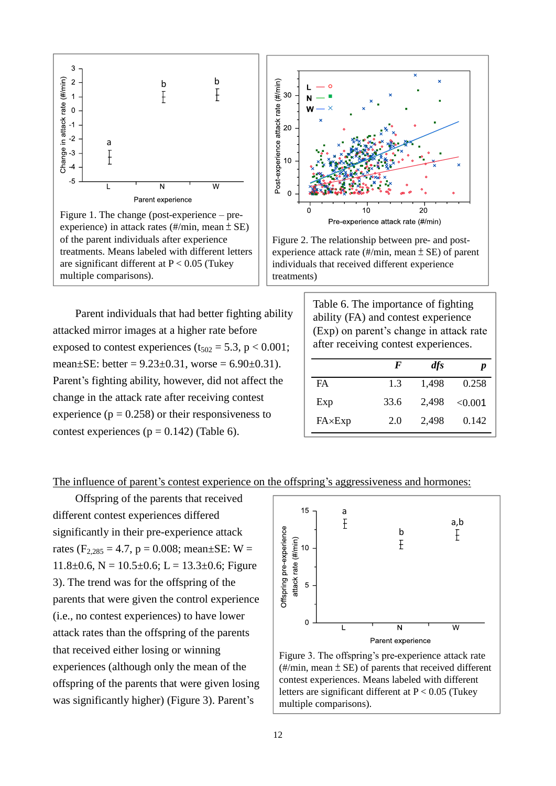

Figure 1. The change (post-experience – preexperience) in attack rates (#/min, mean ± SE) of the parent individuals after experience treatments. Means labeled with different letters are significant different at  $P < 0.05$  (Tukey) multiple comparisons).

Parent individuals that had better fighting ability attacked mirror images at a higher rate before exposed to contest experiences ( $t_{502} = 5.3$ , p < 0.001; mean $\pm$ SE: better = 9.23 $\pm$ 0.31, worse = 6.90 $\pm$ 0.31). Parent's fighting ability, however, did not affect the change in the attack rate after receiving contest experience ( $p = 0.258$ ) or their responsiveness to contest experiences ( $p = 0.142$ ) (Table 6).



Figure 2. The relationship between pre- and postexperience attack rate  $(\frac{\text{#}}{\text{min}}, \text{mean} \pm \text{SE})$  of parent individuals that received different experience treatments)

> Table 6. The importance of fighting ability (FA) and contest experience (Exp) on parent's change in attack rate after receiving contest experiences.

|                | F    | dfs   | p       |
|----------------|------|-------|---------|
| <b>FA</b>      | 1.3  | 1,498 | 0.258   |
| Exp            | 33.6 | 2.498 | < 0.001 |
| $FA\times Exp$ | 2.0  | 2,498 | 0.142   |

## The influence of parent's contest experience on the offspring's aggressiveness and hormones:

Offspring of the parents that received different contest experiences differed significantly in their pre-experience attack rates ( $F_{2,285} = 4.7$ ,  $p = 0.008$ ; mean±SE: W =  $11.8\pm0.6$ , N =  $10.5\pm0.6$ ; L =  $13.3\pm0.6$ ; Figure 3). The trend was for the offspring of the parents that were given the control experience (i.e., no contest experiences) to have lower attack rates than the offspring of the parents that received either losing or winning experiences (although only the mean of the offspring of the parents that were given losing was significantly higher) (Figure 3). Parent's



Figure 3. The offspring's pre-experience attack rate  $(\frac{\text{#}}{\text{min}}, \text{mean} \pm \text{SE})$  of parents that received different contest experiences. Means labeled with different letters are significant different at  $P < 0.05$  (Tukey) multiple comparisons).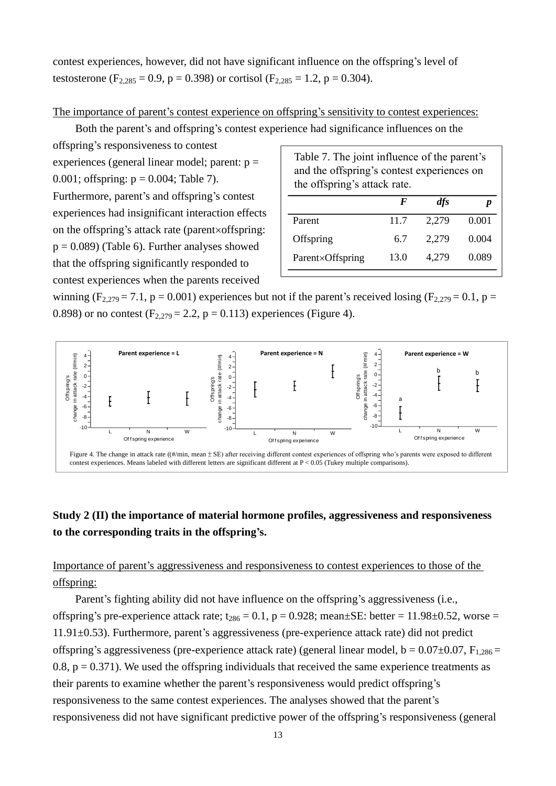contest experiences, however, did not have significant influence on the offspring's level of testosterone (F<sub>2,285</sub> = 0.9, p = 0.398) or cortisol (F<sub>2,285</sub> = 1.2, p = 0.304).

### The importance of parent's contest experience on offspring's sensitivity to contest experiences:

Both the parent's and offspring's contest experience had significance influences on the

offspring's responsiveness to contest

experiences (general linear model; parent:  $p =$ 0.001; offspring:  $p = 0.004$ ; Table 7). Furthermore, parent's and offspring's contest experiences had insignificant interaction effects on the offspring's attack rate (parent $\times$ offspring:  $p = 0.089$  (Table 6). Further analyses showed that the offspring significantly responded to contest experiences when the parents received

| Table 7. The joint influence of the parent's<br>and the offspring's contest experiences on<br>the offspring's attack rate. |      |       |       |  |
|----------------------------------------------------------------------------------------------------------------------------|------|-------|-------|--|
|                                                                                                                            | F    | dfs   |       |  |
| Parent                                                                                                                     | 11.7 | 2,279 | 0.001 |  |
| Offspring                                                                                                                  | 6.7  | 2,279 | 0.004 |  |
| Parent×Offspring                                                                                                           | 13.0 | 4.279 | 0.089 |  |

winning (F<sub>2,279</sub> = 7.1, p = 0.001) experiences but not if the parent's received losing (F<sub>2,279</sub> = 0.1, p = 0.898) or no contest  $(F_{2,279} = 2.2, p = 0.113)$  experiences (Figure 4).



## **Study 2 (II) the importance of material hormone profiles, aggressiveness and responsiveness to the corresponding traits in the offspring's.**

## Importance of parent's aggressiveness and responsiveness to contest experiences to those of the offspring:

Parent's fighting ability did not have influence on the offspring's aggressiveness (i.e., offspring's pre-experience attack rate;  $t_{286} = 0.1$ ,  $p = 0.928$ ; mean $\pm$ SE: better = 11.98 $\pm$ 0.52, worse = 11.91±0.53). Furthermore, parent's aggressiveness (pre-experience attack rate) did not predict offspring's aggressiveness (pre-experience attack rate) (general linear model,  $b = 0.07 \pm 0.07$ ,  $F_{1,286} =$ 0.8,  $p = 0.371$ ). We used the offspring individuals that received the same experience treatments as their parents to examine whether the parent's responsiveness would predict offspring's responsiveness to the same contest experiences. The analyses showed that the parent's responsiveness did not have significant predictive power of the offspring's responsiveness (general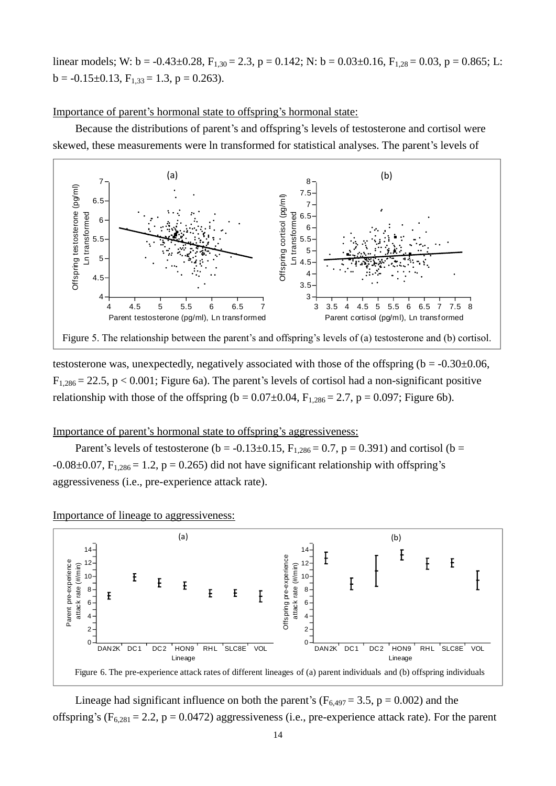linear models; W:  $b = -0.43 \pm 0.28$ ,  $F_{1,30} = 2.3$ ,  $p = 0.142$ ; N:  $b = 0.03 \pm 0.16$ ,  $F_{1,28} = 0.03$ ,  $p = 0.865$ ; L:  $b = -0.15 \pm 0.13$ ,  $F_{1,33} = 1.3$ ,  $p = 0.263$ ).

#### Importance of parent's hormonal state to offspring's hormonal state:

Because the distributions of parent's and offspring's levels of testosterone and cortisol were skewed, these measurements were ln transformed for statistical analyses. The parent's levels of



testosterone was, unexpectedly, negatively associated with those of the offspring ( $b = -0.30 \pm 0.06$ ,  $F_{1,286} = 22.5$ , p < 0.001; Figure 6a). The parent's levels of cortisol had a non-significant positive relationship with those of the offspring ( $b = 0.07 \pm 0.04$ ,  $F_{1,286} = 2.7$ ,  $p = 0.097$ ; Figure 6b).

## Importance of parent's hormonal state to offspring's aggressiveness:

Parent's levels of testosterone (b = -0.13±0.15,  $F_{1,286} = 0.7$ , p = 0.391) and cortisol (b =  $-0.08\pm0.07$ ,  $F_{1,286} = 1.2$ ,  $p = 0.265$ ) did not have significant relationship with offspring's aggressiveness (i.e., pre-experience attack rate).

### Importance of lineage to aggressiveness:



Lineage had significant influence on both the parent's ( $F_{6,497} = 3.5$ , p = 0.002) and the offspring's ( $F_{6,281} = 2.2$ , p = 0.0472) aggressiveness (i.e., pre-experience attack rate). For the parent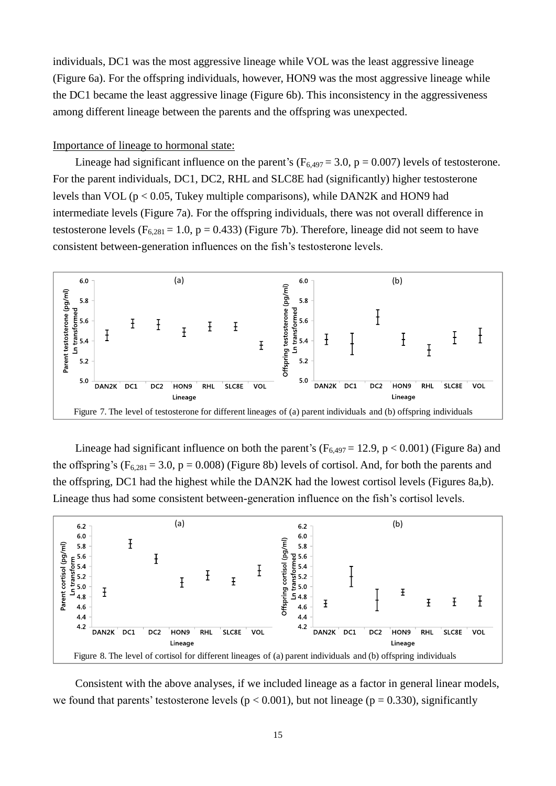individuals, DC1 was the most aggressive lineage while VOL was the least aggressive lineage (Figure 6a). For the offspring individuals, however, HON9 was the most aggressive lineage while the DC1 became the least aggressive linage (Figure 6b). This inconsistency in the aggressiveness among different lineage between the parents and the offspring was unexpected.

## Importance of lineage to hormonal state:

Lineage had significant influence on the parent's ( $F_{6,497} = 3.0$ , p = 0.007) levels of testosterone. For the parent individuals, DC1, DC2, RHL and SLC8E had (significantly) higher testosterone levels than VOL ( $p < 0.05$ , Tukey multiple comparisons), while DAN2K and HON9 had intermediate levels (Figure 7a). For the offspring individuals, there was not overall difference in testosterone levels ( $F_{6,281} = 1.0$ , p = 0.433) (Figure 7b). Therefore, lineage did not seem to have consistent between-generation influences on the fish's testosterone levels.



Lineage had significant influence on both the parent's ( $F_{6,497} = 12.9$ , p < 0.001) (Figure 8a) and the offspring's ( $F_{6,281} = 3.0$ , p = 0.008) (Figure 8b) levels of cortisol. And, for both the parents and the offspring, DC1 had the highest while the DAN2K had the lowest cortisol levels (Figures 8a,b). Lineage thus had some consistent between-generation influence on the fish's cortisol levels.



Consistent with the above analyses, if we included lineage as a factor in general linear models, we found that parents' testosterone levels ( $p < 0.001$ ), but not lineage ( $p = 0.330$ ), significantly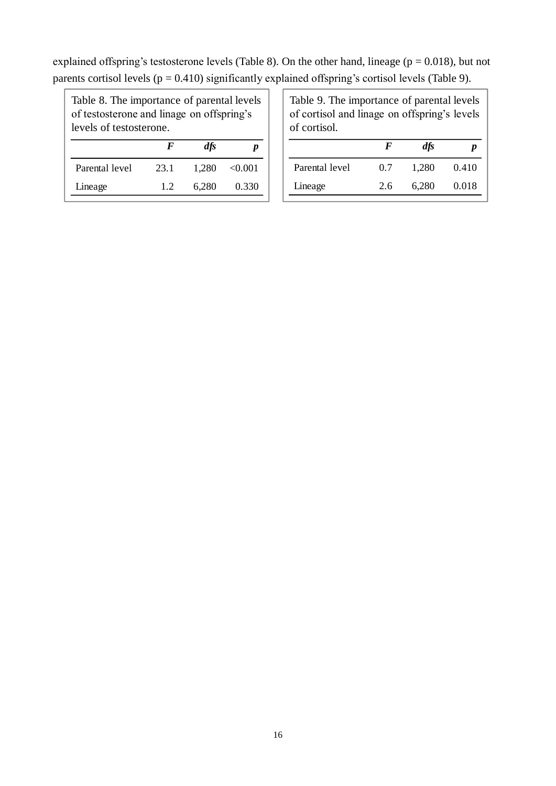explained offspring's testosterone levels (Table 8). On the other hand, lineage ( $p = 0.018$ ), but not parents cortisol levels ( $p = 0.410$ ) significantly explained offspring's cortisol levels (Table 9).

Table 8. The importance of parental levels of testosterone and linage on offspring's levels of testosterone.

|                | F    | dfs   | Ŋ            |
|----------------|------|-------|--------------|
| Parental level | 23.1 | 1.280 | $\leq 0.001$ |
| Lineage        | 12   | 6,280 | 0.330        |

Table 9. The importance of parental levels of cortisol and linage on offspring's levels of cortisol.

|                | F   | $\mathbf{dfs}$ |       |
|----------------|-----|----------------|-------|
| Parental level | 0.7 | 1.280          | 0.410 |
| Lineage        | 2.6 | 6.280          | 0.018 |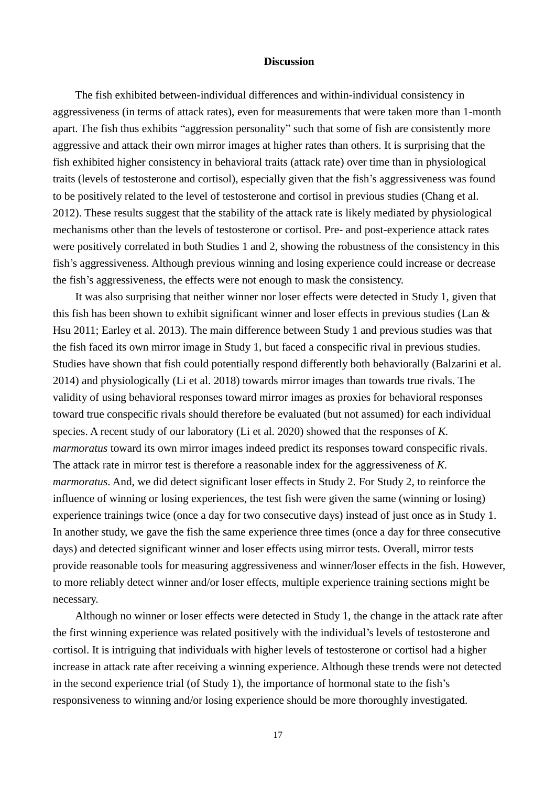#### **Discussion**

The fish exhibited between-individual differences and within-individual consistency in aggressiveness (in terms of attack rates), even for measurements that were taken more than 1-month apart. The fish thus exhibits "aggression personality" such that some of fish are consistently more aggressive and attack their own mirror images at higher rates than others. It is surprising that the fish exhibited higher consistency in behavioral traits (attack rate) over time than in physiological traits (levels of testosterone and cortisol), especially given that the fish's aggressiveness was found to be positively related to the level of testosterone and cortisol in previous studies (Chang et al. 2012). These results suggest that the stability of the attack rate is likely mediated by physiological mechanisms other than the levels of testosterone or cortisol. Pre- and post-experience attack rates were positively correlated in both Studies 1 and 2, showing the robustness of the consistency in this fish's aggressiveness. Although previous winning and losing experience could increase or decrease the fish's aggressiveness, the effects were not enough to mask the consistency.

It was also surprising that neither winner nor loser effects were detected in Study 1, given that this fish has been shown to exhibit significant winner and loser effects in previous studies (Lan & Hsu 2011; Earley et al. 2013). The main difference between Study 1 and previous studies was that the fish faced its own mirror image in Study 1, but faced a conspecific rival in previous studies. Studies have shown that fish could potentially respond differently both behaviorally (Balzarini et al. 2014) and physiologically (Li et al. 2018) towards mirror images than towards true rivals. The validity of using behavioral responses toward mirror images as proxies for behavioral responses toward true conspecific rivals should therefore be evaluated (but not assumed) for each individual species. A recent study of our laboratory (Li et al. 2020) showed that the responses of *K. marmoratus* toward its own mirror images indeed predict its responses toward conspecific rivals. The attack rate in mirror test is therefore a reasonable index for the aggressiveness of *K. marmoratus*. And, we did detect significant loser effects in Study 2. For Study 2, to reinforce the influence of winning or losing experiences, the test fish were given the same (winning or losing) experience trainings twice (once a day for two consecutive days) instead of just once as in Study 1. In another study, we gave the fish the same experience three times (once a day for three consecutive days) and detected significant winner and loser effects using mirror tests. Overall, mirror tests provide reasonable tools for measuring aggressiveness and winner/loser effects in the fish. However, to more reliably detect winner and/or loser effects, multiple experience training sections might be necessary.

Although no winner or loser effects were detected in Study 1, the change in the attack rate after the first winning experience was related positively with the individual's levels of testosterone and cortisol. It is intriguing that individuals with higher levels of testosterone or cortisol had a higher increase in attack rate after receiving a winning experience. Although these trends were not detected in the second experience trial (of Study 1), the importance of hormonal state to the fish's responsiveness to winning and/or losing experience should be more thoroughly investigated.

17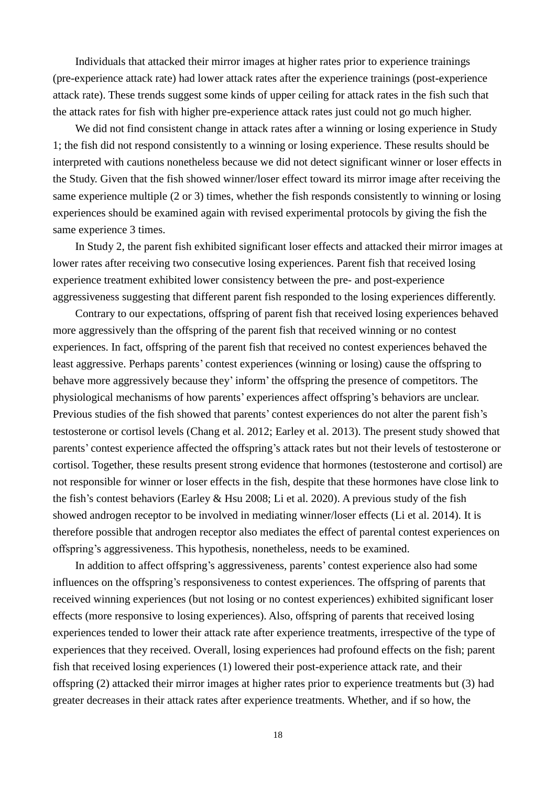Individuals that attacked their mirror images at higher rates prior to experience trainings (pre-experience attack rate) had lower attack rates after the experience trainings (post-experience attack rate). These trends suggest some kinds of upper ceiling for attack rates in the fish such that the attack rates for fish with higher pre-experience attack rates just could not go much higher.

We did not find consistent change in attack rates after a winning or losing experience in Study 1; the fish did not respond consistently to a winning or losing experience. These results should be interpreted with cautions nonetheless because we did not detect significant winner or loser effects in the Study. Given that the fish showed winner/loser effect toward its mirror image after receiving the same experience multiple (2 or 3) times, whether the fish responds consistently to winning or losing experiences should be examined again with revised experimental protocols by giving the fish the same experience 3 times.

In Study 2, the parent fish exhibited significant loser effects and attacked their mirror images at lower rates after receiving two consecutive losing experiences. Parent fish that received losing experience treatment exhibited lower consistency between the pre- and post-experience aggressiveness suggesting that different parent fish responded to the losing experiences differently.

Contrary to our expectations, offspring of parent fish that received losing experiences behaved more aggressively than the offspring of the parent fish that received winning or no contest experiences. In fact, offspring of the parent fish that received no contest experiences behaved the least aggressive. Perhaps parents' contest experiences (winning or losing) cause the offspring to behave more aggressively because they' inform' the offspring the presence of competitors. The physiological mechanisms of how parents' experiences affect offspring's behaviors are unclear. Previous studies of the fish showed that parents' contest experiences do not alter the parent fish's testosterone or cortisol levels (Chang et al. 2012; Earley et al. 2013). The present study showed that parents' contest experience affected the offspring's attack rates but not their levels of testosterone or cortisol. Together, these results present strong evidence that hormones (testosterone and cortisol) are not responsible for winner or loser effects in the fish, despite that these hormones have close link to the fish's contest behaviors (Earley & Hsu 2008; Li et al. 2020). A previous study of the fish showed androgen receptor to be involved in mediating winner/loser effects (Li et al. 2014). It is therefore possible that androgen receptor also mediates the effect of parental contest experiences on offspring's aggressiveness. This hypothesis, nonetheless, needs to be examined.

In addition to affect offspring's aggressiveness, parents' contest experience also had some influences on the offspring's responsiveness to contest experiences. The offspring of parents that received winning experiences (but not losing or no contest experiences) exhibited significant loser effects (more responsive to losing experiences). Also, offspring of parents that received losing experiences tended to lower their attack rate after experience treatments, irrespective of the type of experiences that they received. Overall, losing experiences had profound effects on the fish; parent fish that received losing experiences (1) lowered their post-experience attack rate, and their offspring (2) attacked their mirror images at higher rates prior to experience treatments but (3) had greater decreases in their attack rates after experience treatments. Whether, and if so how, the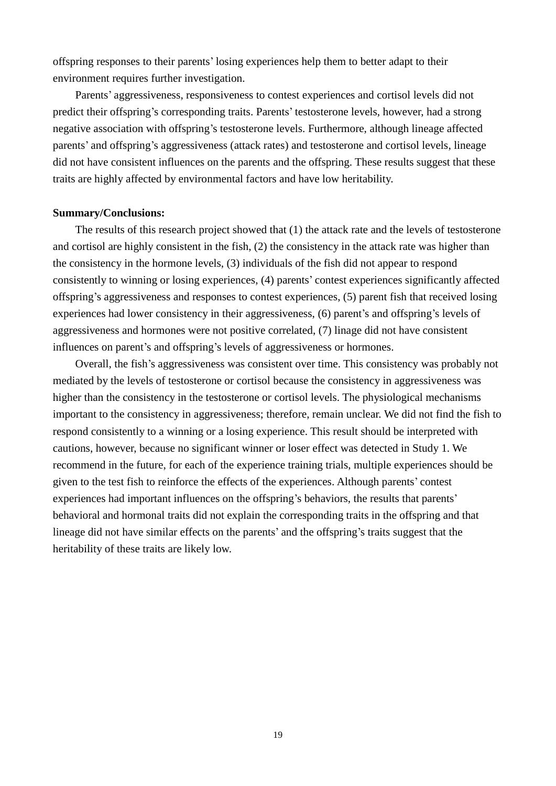offspring responses to their parents' losing experiences help them to better adapt to their environment requires further investigation.

Parents' aggressiveness, responsiveness to contest experiences and cortisol levels did not predict their offspring's corresponding traits. Parents' testosterone levels, however, had a strong negative association with offspring's testosterone levels. Furthermore, although lineage affected parents' and offspring's aggressiveness (attack rates) and testosterone and cortisol levels, lineage did not have consistent influences on the parents and the offspring. These results suggest that these traits are highly affected by environmental factors and have low heritability.

### **Summary/Conclusions:**

The results of this research project showed that (1) the attack rate and the levels of testosterone and cortisol are highly consistent in the fish, (2) the consistency in the attack rate was higher than the consistency in the hormone levels, (3) individuals of the fish did not appear to respond consistently to winning or losing experiences, (4) parents' contest experiences significantly affected offspring's aggressiveness and responses to contest experiences, (5) parent fish that received losing experiences had lower consistency in their aggressiveness, (6) parent's and offspring's levels of aggressiveness and hormones were not positive correlated, (7) linage did not have consistent influences on parent's and offspring's levels of aggressiveness or hormones.

Overall, the fish's aggressiveness was consistent over time. This consistency was probably not mediated by the levels of testosterone or cortisol because the consistency in aggressiveness was higher than the consistency in the testosterone or cortisol levels. The physiological mechanisms important to the consistency in aggressiveness; therefore, remain unclear. We did not find the fish to respond consistently to a winning or a losing experience. This result should be interpreted with cautions, however, because no significant winner or loser effect was detected in Study 1. We recommend in the future, for each of the experience training trials, multiple experiences should be given to the test fish to reinforce the effects of the experiences. Although parents' contest experiences had important influences on the offspring's behaviors, the results that parents' behavioral and hormonal traits did not explain the corresponding traits in the offspring and that lineage did not have similar effects on the parents' and the offspring's traits suggest that the heritability of these traits are likely low.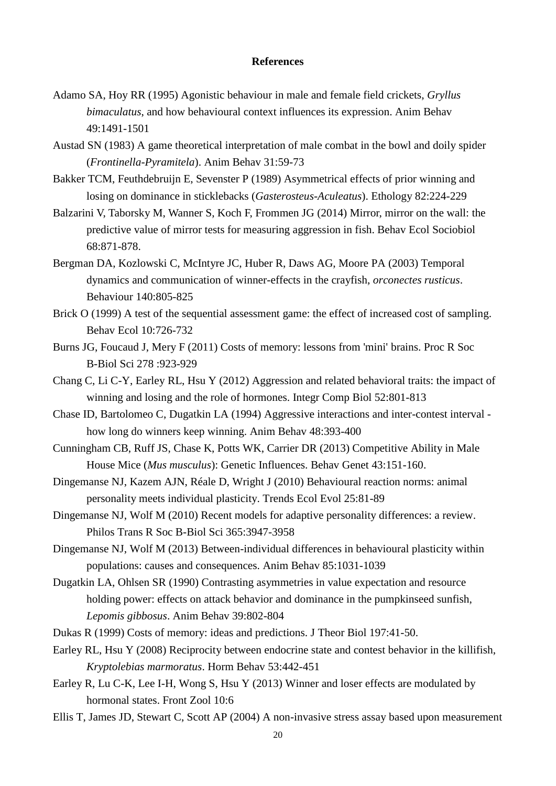#### **References**

- Adamo SA, Hoy RR (1995) Agonistic behaviour in male and female field crickets, *Gryllus bimaculatus*, and how behavioural context influences its expression. Anim Behav 49:1491-1501
- Austad SN (1983) A game theoretical interpretation of male combat in the bowl and doily spider (*Frontinella-Pyramitela*). Anim Behav 31:59-73
- Bakker TCM, Feuthdebruijn E, Sevenster P (1989) Asymmetrical effects of prior winning and losing on dominance in sticklebacks (*Gasterosteus-Aculeatus*). Ethology 82:224-229
- Balzarini V, Taborsky M, Wanner S, Koch F, Frommen JG (2014) Mirror, mirror on the wall: the predictive value of mirror tests for measuring aggression in fish. Behav Ecol Sociobiol 68:871-878.
- Bergman DA, Kozlowski C, McIntyre JC, Huber R, Daws AG, Moore PA (2003) Temporal dynamics and communication of winner-effects in the crayfish, *orconectes rusticus*. Behaviour 140:805-825
- Brick O (1999) A test of the sequential assessment game: the effect of increased cost of sampling. Behav Ecol 10:726-732
- Burns JG, Foucaud J, Mery F (2011) Costs of memory: lessons from 'mini' brains. Proc R Soc B-Biol Sci 278 :923-929
- Chang C, Li C-Y, Earley RL, Hsu Y (2012) Aggression and related behavioral traits: the impact of winning and losing and the role of hormones. Integr Comp Biol 52:801-813
- Chase ID, Bartolomeo C, Dugatkin LA (1994) Aggressive interactions and inter-contest interval how long do winners keep winning. Anim Behav 48:393-400
- Cunningham CB, Ruff JS, Chase K, Potts WK, Carrier DR (2013) Competitive Ability in Male House Mice (*Mus musculus*): Genetic Influences. Behav Genet 43:151-160.
- Dingemanse NJ, Kazem AJN, Réale D, Wright J (2010) Behavioural reaction norms: animal personality meets individual plasticity. Trends Ecol Evol 25:81-89
- Dingemanse NJ, Wolf M (2010) Recent models for adaptive personality differences: a review. Philos Trans R Soc B-Biol Sci 365:3947-3958
- Dingemanse NJ, Wolf M (2013) Between-individual differences in behavioural plasticity within populations: causes and consequences. Anim Behav 85:1031-1039
- Dugatkin LA, Ohlsen SR (1990) Contrasting asymmetries in value expectation and resource holding power: effects on attack behavior and dominance in the pumpkinseed sunfish, *Lepomis gibbosus*. Anim Behav 39:802-804
- Dukas R (1999) Costs of memory: ideas and predictions. J Theor Biol 197:41-50.
- Earley RL, Hsu Y (2008) Reciprocity between endocrine state and contest behavior in the killifish, *Kryptolebias marmoratus*. Horm Behav 53:442-451
- Earley R, Lu C-K, Lee I-H, Wong S, Hsu Y (2013) Winner and loser effects are modulated by hormonal states. Front Zool 10:6
- Ellis T, James JD, Stewart C, Scott AP (2004) A non-invasive stress assay based upon measurement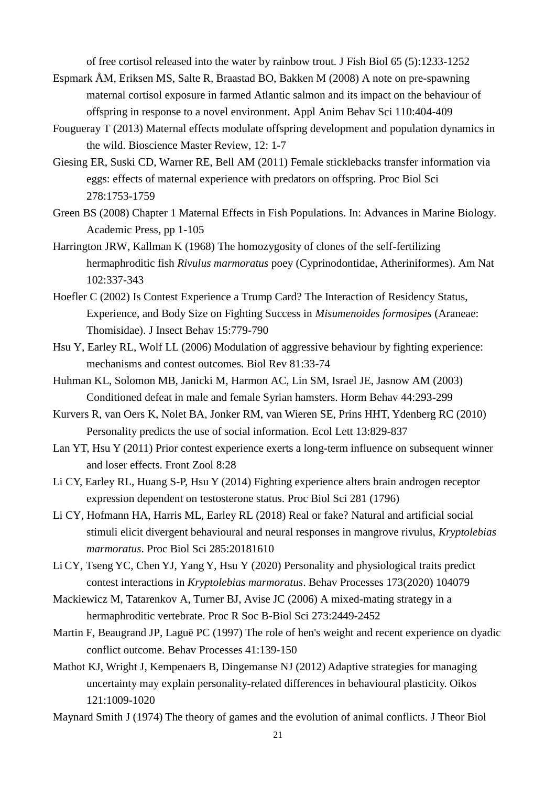of free cortisol released into the water by rainbow trout. J Fish Biol 65 (5):1233-1252

- Espmark Å M, Eriksen MS, Salte R, Braastad BO, Bakken M (2008) A note on pre-spawning maternal cortisol exposure in farmed Atlantic salmon and its impact on the behaviour of offspring in response to a novel environment. Appl Anim Behav Sci 110:404-409
- Fougueray T (2013) Maternal effects modulate offspring development and population dynamics in the wild. Bioscience Master Review, 12: 1-7
- Giesing ER, Suski CD, Warner RE, Bell AM (2011) Female sticklebacks transfer information via eggs: effects of maternal experience with predators on offspring. Proc Biol Sci 278:1753-1759
- Green BS (2008) Chapter 1 Maternal Effects in Fish Populations. In: Advances in Marine Biology. Academic Press, pp 1-105
- Harrington JRW, Kallman K (1968) The homozygosity of clones of the self-fertilizing hermaphroditic fish *Rivulus marmoratus* poey (Cyprinodontidae, Atheriniformes). Am Nat 102:337-343
- Hoefler C (2002) Is Contest Experience a Trump Card? The Interaction of Residency Status, Experience, and Body Size on Fighting Success in *Misumenoides formosipes* (Araneae: Thomisidae). J Insect Behav 15:779-790
- Hsu Y, Earley RL, Wolf LL (2006) Modulation of aggressive behaviour by fighting experience: mechanisms and contest outcomes. Biol Rev 81:33-74
- Huhman KL, Solomon MB, Janicki M, Harmon AC, Lin SM, Israel JE, Jasnow AM (2003) Conditioned defeat in male and female Syrian hamsters. Horm Behav 44:293-299
- Kurvers R, van Oers K, Nolet BA, Jonker RM, van Wieren SE, Prins HHT, Ydenberg RC (2010) Personality predicts the use of social information. Ecol Lett 13:829-837
- Lan YT, Hsu Y (2011) Prior contest experience exerts a long-term influence on subsequent winner and loser effects. Front Zool 8:28
- Li CY, Earley RL, Huang S-P, Hsu Y (2014) Fighting experience alters brain androgen receptor expression dependent on testosterone status. Proc Biol Sci 281 (1796)
- Li CY, Hofmann HA, Harris ML, Earley RL (2018) Real or fake? Natural and artificial social stimuli elicit divergent behavioural and neural responses in mangrove rivulus, *Kryptolebias marmoratus*. Proc Biol Sci 285:20181610
- Li CY, Tseng YC, Chen YJ, Yang Y, Hsu Y (2020) Personality and physiological traits predict contest interactions in *Kryptolebias marmoratus*. Behav Processes 173(2020) 104079
- Mackiewicz M, Tatarenkov A, Turner BJ, Avise JC (2006) A mixed-mating strategy in a hermaphroditic vertebrate. Proc R Soc B-Biol Sci 273:2449-2452
- Martin F, Beaugrand JP, Laguë PC (1997) The role of hen's weight and recent experience on dyadic conflict outcome. Behav Processes 41:139-150
- Mathot KJ, Wright J, Kempenaers B, Dingemanse NJ (2012) Adaptive strategies for managing uncertainty may explain personality-related differences in behavioural plasticity. Oikos 121:1009-1020
- Maynard Smith J (1974) The theory of games and the evolution of animal conflicts. J Theor Biol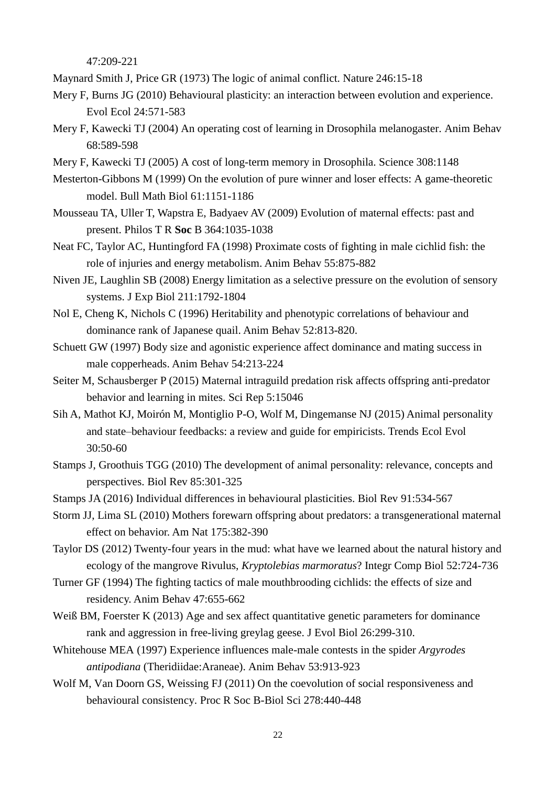47:209-221

Maynard Smith J, Price GR (1973) The logic of animal conflict. Nature 246:15-18

- Mery F, Burns JG (2010) Behavioural plasticity: an interaction between evolution and experience. Evol Ecol 24:571-583
- Mery F, Kawecki TJ (2004) An operating cost of learning in Drosophila melanogaster. Anim Behav 68:589-598
- Mery F, Kawecki TJ (2005) A cost of long-term memory in Drosophila. Science 308:1148
- Mesterton-Gibbons M (1999) On the evolution of pure winner and loser effects: A game-theoretic model. Bull Math Biol 61:1151-1186
- Mousseau TA, Uller T, Wapstra E, Badyaev AV (2009) Evolution of maternal effects: past and present. Philos T R **Soc** B 364:1035-1038
- Neat FC, Taylor AC, Huntingford FA (1998) Proximate costs of fighting in male cichlid fish: the role of injuries and energy metabolism. Anim Behav 55:875-882
- Niven JE, Laughlin SB (2008) Energy limitation as a selective pressure on the evolution of sensory systems. J Exp Biol 211:1792-1804
- Nol E, Cheng K, Nichols C (1996) Heritability and phenotypic correlations of behaviour and dominance rank of Japanese quail. Anim Behav 52:813-820.
- Schuett GW (1997) Body size and agonistic experience affect dominance and mating success in male copperheads. Anim Behav 54:213-224
- Seiter M, Schausberger P (2015) Maternal intraguild predation risk affects offspring anti-predator behavior and learning in mites. Sci Rep 5:15046
- Sih A, Mathot KJ, Moirón M, Montiglio P-O, Wolf M, Dingemanse NJ (2015) Animal personality and state–behaviour feedbacks: a review and guide for empiricists. Trends Ecol Evol 30:50-60
- Stamps J, Groothuis TGG (2010) The development of animal personality: relevance, concepts and perspectives. Biol Rev 85:301-325
- Stamps JA (2016) Individual differences in behavioural plasticities. Biol Rev 91:534-567
- Storm JJ, Lima SL (2010) Mothers forewarn offspring about predators: a transgenerational maternal effect on behavior. Am Nat 175:382-390
- Taylor DS (2012) Twenty-four years in the mud: what have we learned about the natural history and ecology of the mangrove Rivulus, *Kryptolebias marmoratus*? Integr Comp Biol 52:724-736
- Turner GF (1994) The fighting tactics of male mouthbrooding cichlids: the effects of size and residency. Anim Behav 47:655-662
- Weiß BM, Foerster K (2013) Age and sex affect quantitative genetic parameters for dominance rank and aggression in free-living greylag geese. J Evol Biol 26:299-310.
- Whitehouse MEA (1997) Experience influences male-male contests in the spider *Argyrodes antipodiana* (Theridiidae:Araneae). Anim Behav 53:913-923
- Wolf M, Van Doorn GS, Weissing FJ (2011) On the coevolution of social responsiveness and behavioural consistency. Proc R Soc B-Biol Sci 278:440-448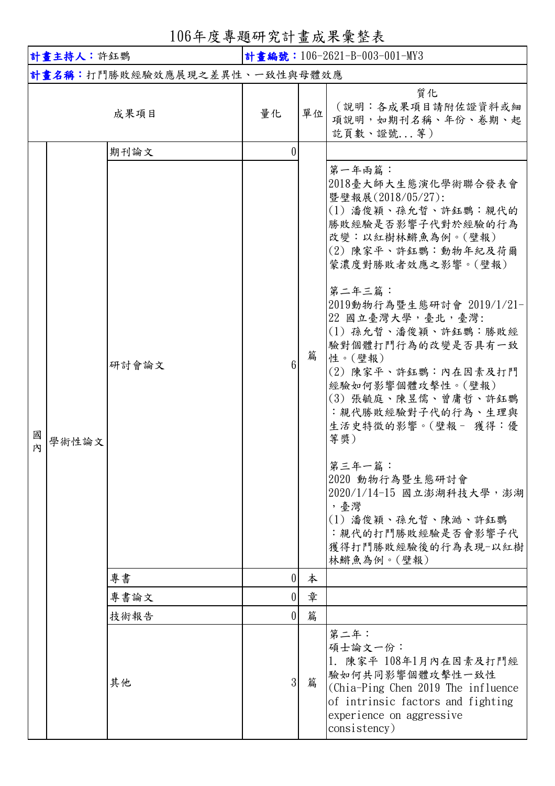106年度專題研究計畫成果彙整表

| 計畫主持人:許鈺鸚 |       |                              | 計畫編號: 106-2621-B-003-001-MY3 |        |                                                                                                                                                                                                                                                                                                                                                                                                                                                                                                                                                     |
|-----------|-------|------------------------------|------------------------------|--------|-----------------------------------------------------------------------------------------------------------------------------------------------------------------------------------------------------------------------------------------------------------------------------------------------------------------------------------------------------------------------------------------------------------------------------------------------------------------------------------------------------------------------------------------------------|
|           |       | 計畫名稱:打鬥勝敗經驗效應展現之差異性、一致性與母體效應 |                              |        |                                                                                                                                                                                                                                                                                                                                                                                                                                                                                                                                                     |
|           |       | 成果項目                         | 量化                           | 單位     | 質化<br>(說明:各成果項目請附佐證資料或細<br>項說明,如期刊名稱、年份、卷期、起<br>訖頁數、證號等)                                                                                                                                                                                                                                                                                                                                                                                                                                                                                            |
|           |       | 期刊論文                         | 0                            |        |                                                                                                                                                                                                                                                                                                                                                                                                                                                                                                                                                     |
| 國<br>内    | 學術性論文 | 研討會論文                        | 6 <sup>1</sup>               | 篇      | 第一年兩篇:<br>2018毫大師大生態演化學術聯合發表會<br>暨壁報展(2018/05/27):<br>(1) 潘俊穎、孫允晢、許鈺鸚:親代的<br>勝敗經驗是否影響子代對於經驗的行為<br>改變:以紅樹林鱂魚為例。(壁報)<br>(2) 陳家平、許鈺鸚:動物年紀及荷爾<br>蒙濃度對勝敗者效應之影響。(壁報)<br>第二年三篇:<br>2019動物行為暨生態研討會 2019/1/21-<br>22 國立臺灣大學,臺北,臺灣:<br>(1) 孫允晢、潘俊穎、許鈺鸚:勝敗經<br>驗對個體打鬥行為的改變是否具有一致<br>性。(壁報)<br>(2) 陳家平、許鈺鸚:內在因素及打鬥<br>經驗如何影響個體攻擊性。(壁報)<br>(3) 張毓庭、陳昱儒、曾庸哲、許鈺鸚<br>:親代勝敗經驗對子代的行為、生理與<br>生活史特徵的影響。(壁報- 獲得:優<br>等獎)<br>第三年一篇:<br>2020 動物行為暨生態研討會<br>2020/1/14-15 國立澎湖科技大學,澎湖<br>,臺灣<br>(1) 潘俊穎、孫允晢、陳澔、許鈺鸚<br>: 親代的打鬥勝敗經驗是否會影響子代<br>獲得打鬥勝敗經驗後的行為表現-以紅樹<br>林鱂魚為例。(壁報) |
|           |       | 專書                           | 0                            | 本      |                                                                                                                                                                                                                                                                                                                                                                                                                                                                                                                                                     |
|           |       | 專書論文<br>技術報告                 | 0 <br>$\overline{0}$         | 章<br>篇 |                                                                                                                                                                                                                                                                                                                                                                                                                                                                                                                                                     |
|           |       | 其他                           | 3 <sup>1</sup>               | 篇      | 第二年:<br>碩士論文一份:<br>1. 陳家平 108年1月內在因素及打鬥經<br> 驗如何共同影響個體攻擊性一致性<br>(Chia-Ping Chen 2019 The influence<br>of intrinsic factors and fighting<br>experience on aggressive<br>consistency)                                                                                                                                                                                                                                                                                                                                                                 |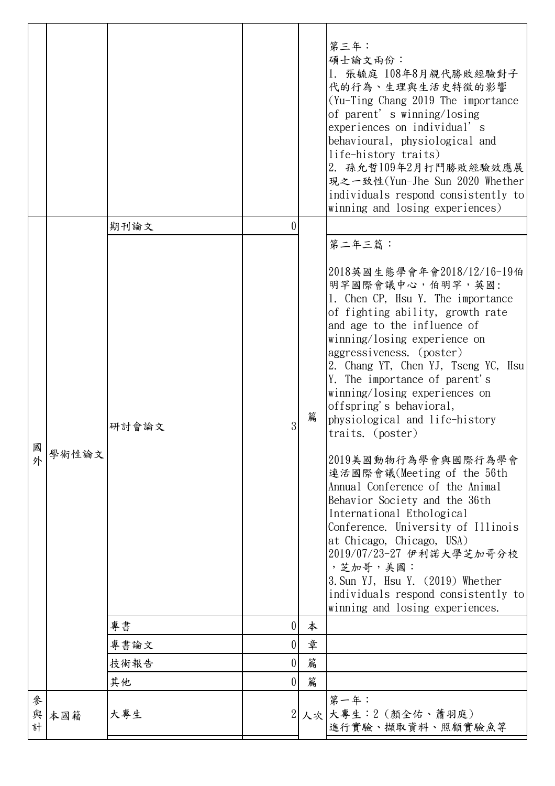|             |       |       |                  |   | 第三年:<br>碩士論文兩份:<br>1. 張毓庭 108年8月親代勝敗經驗對子<br>代的行為、生理與生活史特徵的影響<br>$Yu-Ting$ Chang 2019 The importance<br>of parent's winning/losing<br>experiences on individual's<br>behavioural, physiological and<br>life-history traits)<br>2. 孫允晢109年2月打鬥勝敗經驗效應展<br>現之一致性(Yun-Jhe Sun 2020 Whether<br>individuals respond consistently to<br>winning and losing experiences)                                                                                                                                                                                                                                                                                                                                                                                                                               |
|-------------|-------|-------|------------------|---|-----------------------------------------------------------------------------------------------------------------------------------------------------------------------------------------------------------------------------------------------------------------------------------------------------------------------------------------------------------------------------------------------------------------------------------------------------------------------------------------------------------------------------------------------------------------------------------------------------------------------------------------------------------------------------------------------------------------------------------------------------------------------------------------------|
|             | 學術性論文 | 期刊論文  | $\left( \right)$ |   |                                                                                                                                                                                                                                                                                                                                                                                                                                                                                                                                                                                                                                                                                                                                                                                               |
|             |       |       |                  |   | 第二年三篇:                                                                                                                                                                                                                                                                                                                                                                                                                                                                                                                                                                                                                                                                                                                                                                                        |
| 國<br>外      |       | 研討會論文 | 3                | 篇 | 2018英國生態學會年會2018/12/16-19伯<br>明罕國際會議中心,伯明罕,英國:<br>1. Chen CP, Hsu Y. The importance<br>of fighting ability, growth rate<br>and age to the influence of<br>winning/losing experience on<br>aggressiveness. (poster)<br>2. Chang YT, Chen YJ, Tseng YC, Hsu<br>Y. The importance of parent's<br>winning/losing experiences on<br>offspring's behavioral,<br>physiological and life-history<br>traits. (poster)<br>2019美國動物行為學會與國際行為學會<br>連活國際會議(Meeting of the 56th<br>Annual Conference of the Animal<br>Behavior Society and the 36th<br>International Ethological<br>Conference. University of Illinois<br>at Chicago, Chicago, USA)<br>2019/07/23-27 伊利諾大學芝加哥分校<br>, 芝加哥, 美國:<br>3. Sun YJ, Hsu Y. (2019) Whether<br>individuals respond consistently to<br>winning and losing experiences. |
|             |       | 專書    | $\overline{0}$   | 本 |                                                                                                                                                                                                                                                                                                                                                                                                                                                                                                                                                                                                                                                                                                                                                                                               |
|             |       | 專書論文  | 0                | 章 |                                                                                                                                                                                                                                                                                                                                                                                                                                                                                                                                                                                                                                                                                                                                                                                               |
|             |       | 技術報告  | $\overline{0}$   | 篇 |                                                                                                                                                                                                                                                                                                                                                                                                                                                                                                                                                                                                                                                                                                                                                                                               |
|             |       | 其他    | 0                | 篇 |                                                                                                                                                                                                                                                                                                                                                                                                                                                                                                                                                                                                                                                                                                                                                                                               |
| 參<br>與<br>計 | 本國籍   | 大專生   | $\overline{2}$   |   | 第一年:<br>人次大專生:2 (顏全佑、蕭羽庭)<br>進行實驗、擷取資料、照顧實驗魚等                                                                                                                                                                                                                                                                                                                                                                                                                                                                                                                                                                                                                                                                                                                                                 |